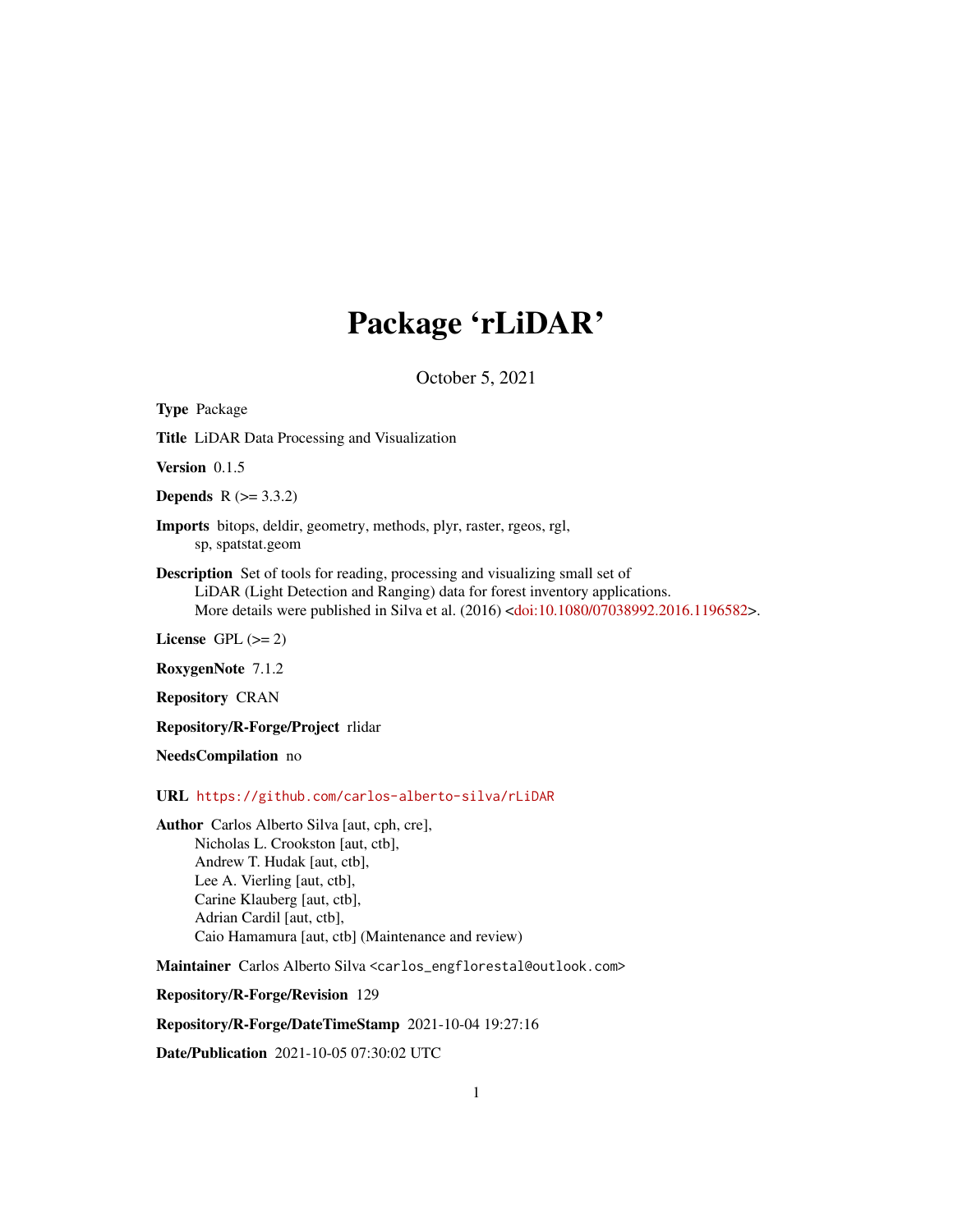## Package 'rLiDAR'

October 5, 2021

<span id="page-0-0"></span>Type Package Title LiDAR Data Processing and Visualization Version 0.1.5 **Depends**  $R (= 3.3.2)$ Imports bitops, deldir, geometry, methods, plyr, raster, rgeos, rgl, sp, spatstat.geom Description Set of tools for reading, processing and visualizing small set of LiDAR (Light Detection and Ranging) data for forest inventory applications. More details were published in Silva et al. (2016) [<doi:10.1080/07038992.2016.1196582>](https://doi.org/10.1080/07038992.2016.1196582). License GPL  $(>= 2)$ RoxygenNote 7.1.2 Repository CRAN Repository/R-Forge/Project rlidar NeedsCompilation no URL <https://github.com/carlos-alberto-silva/rLiDAR> Author Carlos Alberto Silva [aut, cph, cre], Nicholas L. Crookston [aut, ctb], Andrew T. Hudak [aut, ctb], Lee A. Vierling [aut, ctb], Carine Klauberg [aut, ctb], Adrian Cardil [aut, ctb], Caio Hamamura [aut, ctb] (Maintenance and review) Maintainer Carlos Alberto Silva <carlos\_engflorestal@outlook.com> Repository/R-Forge/Revision 129

Repository/R-Forge/DateTimeStamp 2021-10-04 19:27:16

Date/Publication 2021-10-05 07:30:02 UTC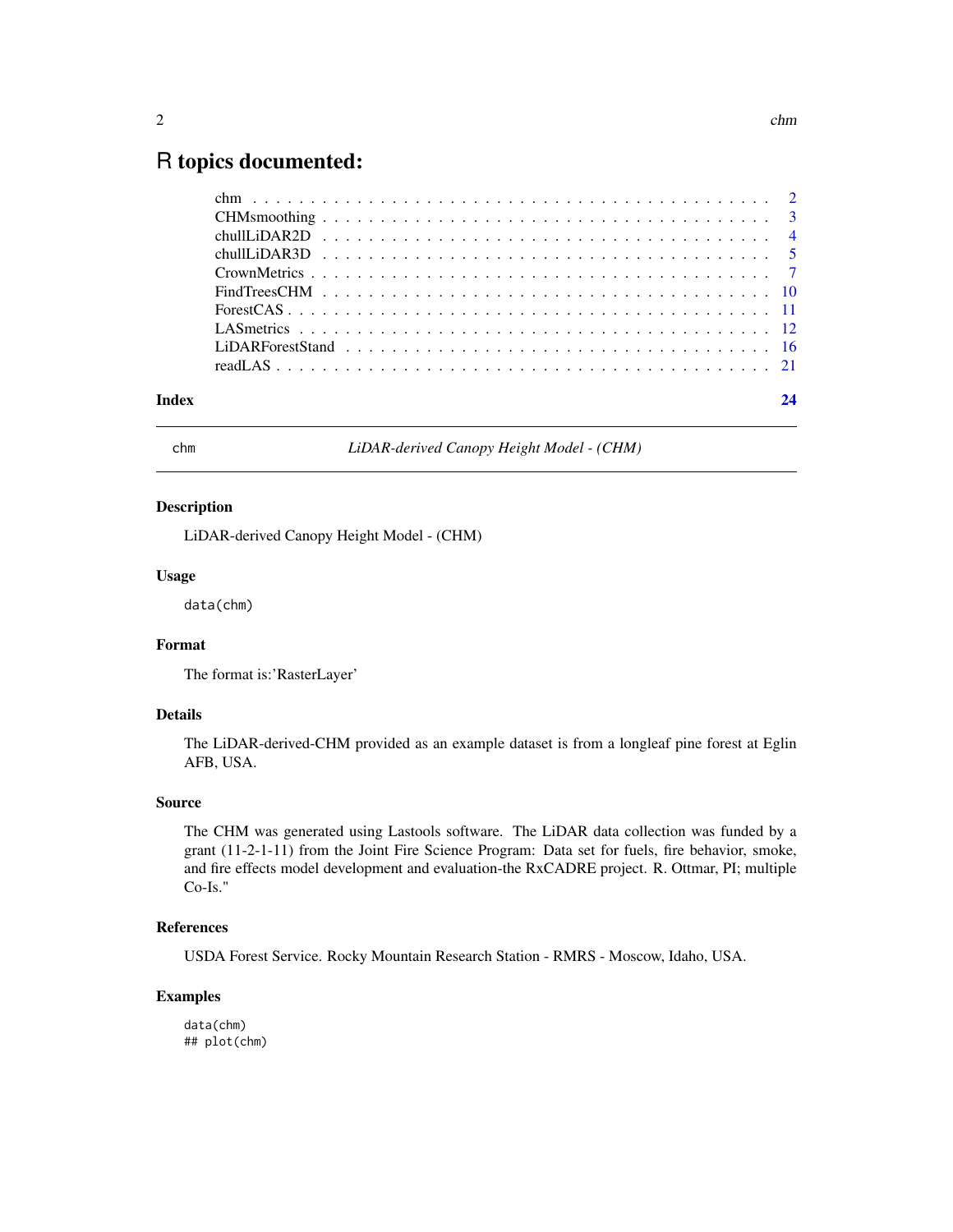### <span id="page-1-0"></span>R topics documented:

| Index |  |
|-------|--|
|       |  |
|       |  |
|       |  |
|       |  |
|       |  |
|       |  |
|       |  |
|       |  |
|       |  |
|       |  |

chm *LiDAR-derived Canopy Height Model - (CHM)*

#### Description

LiDAR-derived Canopy Height Model - (CHM)

#### Usage

data(chm)

#### Format

The format is:'RasterLayer'

#### Details

The LiDAR-derived-CHM provided as an example dataset is from a longleaf pine forest at Eglin AFB, USA.

#### Source

The CHM was generated using Lastools software. The LiDAR data collection was funded by a grant (11-2-1-11) from the Joint Fire Science Program: Data set for fuels, fire behavior, smoke, and fire effects model development and evaluation-the RxCADRE project. R. Ottmar, PI; multiple Co-Is."

#### References

USDA Forest Service. Rocky Mountain Research Station - RMRS - Moscow, Idaho, USA.

#### Examples

data(chm) ## plot(chm)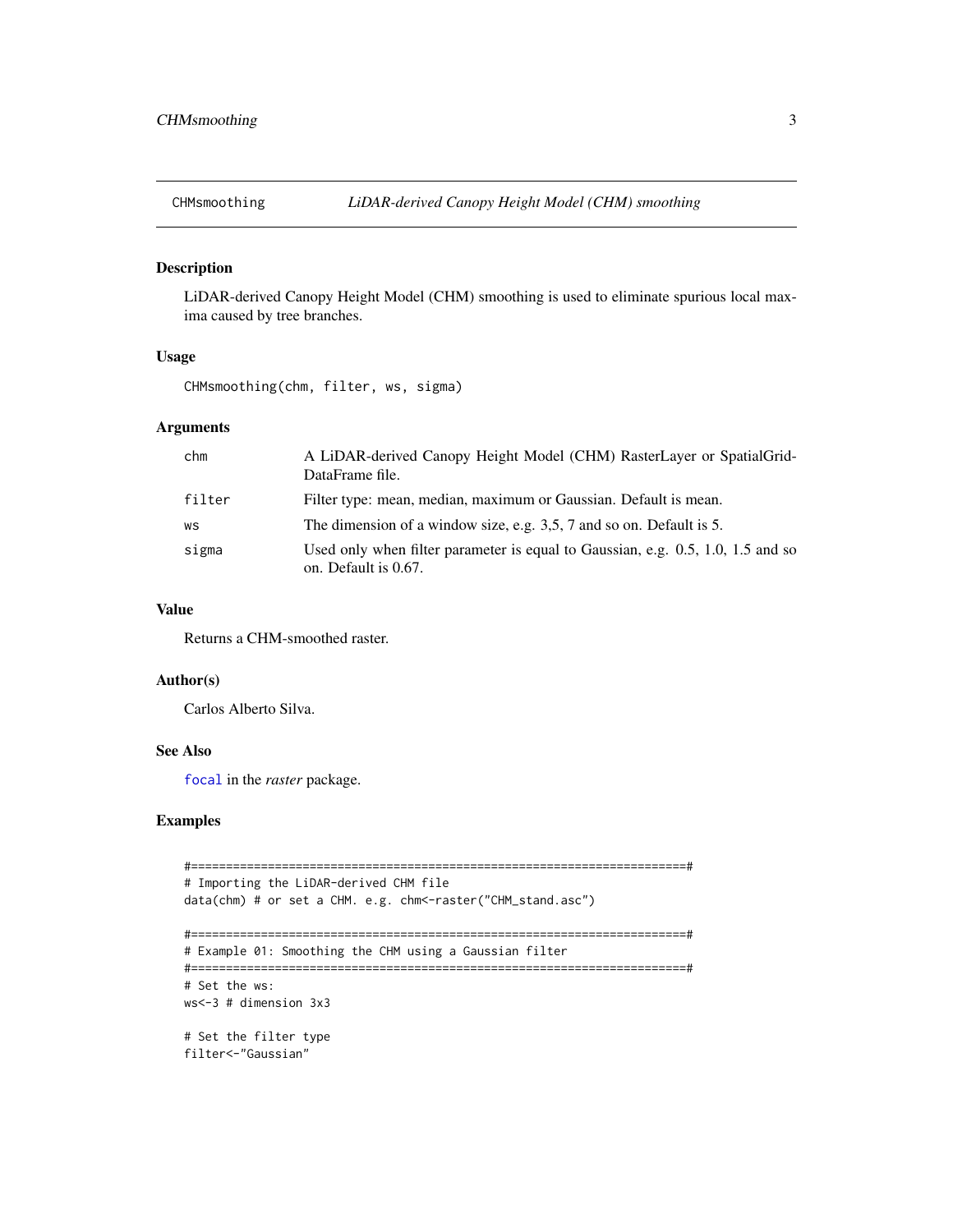<span id="page-2-0"></span>

#### Description

LiDAR-derived Canopy Height Model (CHM) smoothing is used to eliminate spurious local maxima caused by tree branches.

#### Usage

CHMsmoothing(chm, filter, ws, sigma)

#### Arguments

| chm    | A LiDAR-derived Canopy Height Model (CHM) RasterLayer or SpatialGrid-<br>DataFrame file.                |
|--------|---------------------------------------------------------------------------------------------------------|
| filter | Filter type: mean, median, maximum or Gaussian. Default is mean.                                        |
| WS     | The dimension of a window size, e.g. 3,5, 7 and so on. Default is 5.                                    |
| sigma  | Used only when filter parameter is equal to Gaussian, e.g. 0.5, 1.0, 1.5 and so<br>on. Default is 0.67. |

#### Value

Returns a CHM-smoothed raster.

#### Author(s)

Carlos Alberto Silva.

#### See Also

[focal](#page-0-0) in the *raster* package.

#### Examples

```
#=======================================================================#
# Importing the LiDAR-derived CHM file
data(chm) # or set a CHM. e.g. chm<-raster("CHM_stand.asc")
#=======================================================================#
# Example 01: Smoothing the CHM using a Gaussian filter
#=======================================================================#
# Set the ws:
ws<-3 # dimension 3x3
# Set the filter type
filter<-"Gaussian"
```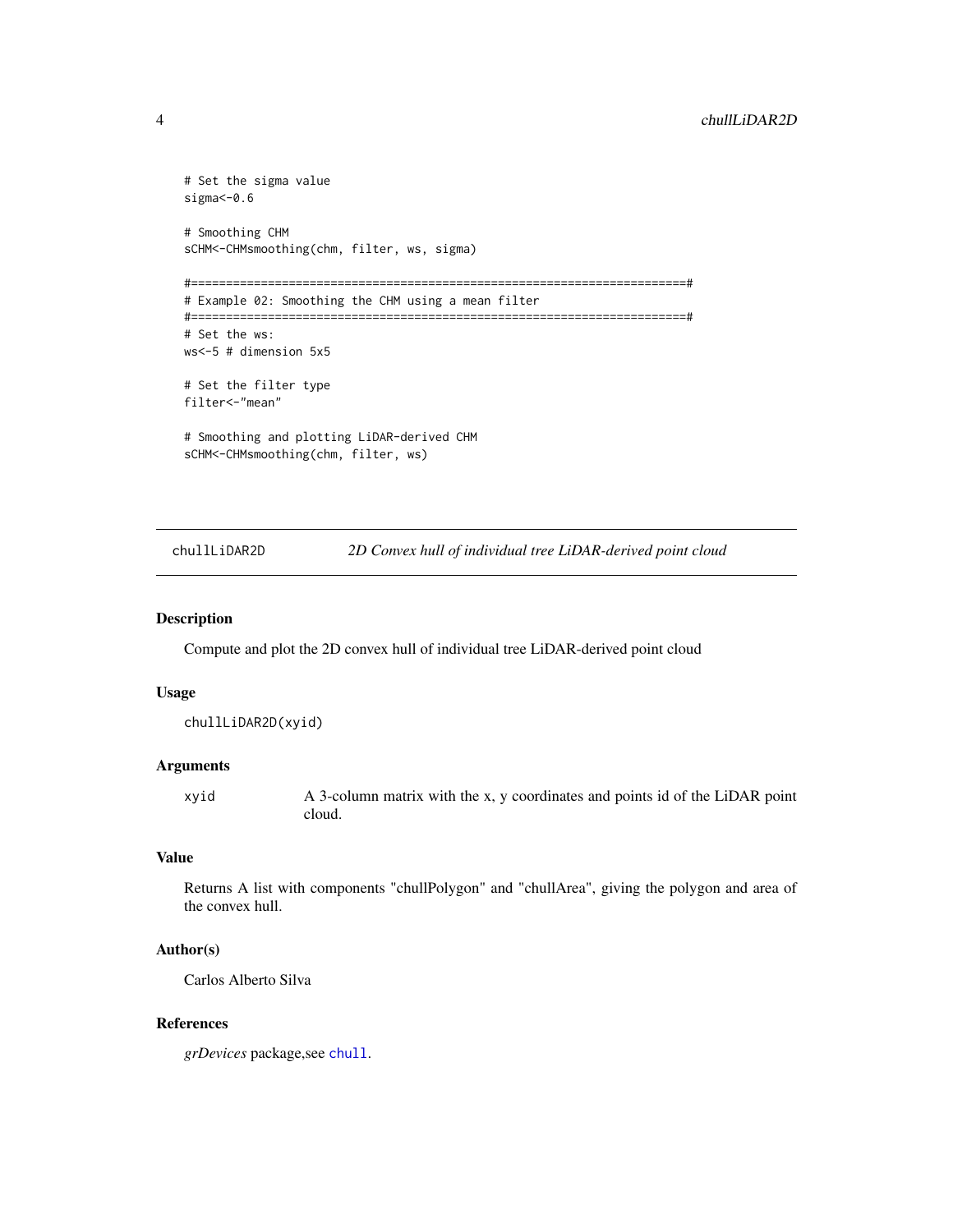```
# Set the sigma value
sigma<-0.6
# Smoothing CHM
sCHM<-CHMsmoothing(chm, filter, ws, sigma)
#=======================================================================#
# Example 02: Smoothing the CHM using a mean filter
#=======================================================================#
# Set the ws:
ws<-5 # dimension 5x5
# Set the filter type
filter<-"mean"
# Smoothing and plotting LiDAR-derived CHM
sCHM<-CHMsmoothing(chm, filter, ws)
```
chullLiDAR2D *2D Convex hull of individual tree LiDAR-derived point cloud*

#### Description

Compute and plot the 2D convex hull of individual tree LiDAR-derived point cloud

#### Usage

chullLiDAR2D(xyid)

#### Arguments

xyid A 3-column matrix with the x, y coordinates and points id of the LiDAR point cloud.

#### Value

Returns A list with components "chullPolygon" and "chullArea", giving the polygon and area of the convex hull.

#### Author(s)

Carlos Alberto Silva

#### References

*grDevices* package,see [chull](#page-0-0).

<span id="page-3-0"></span>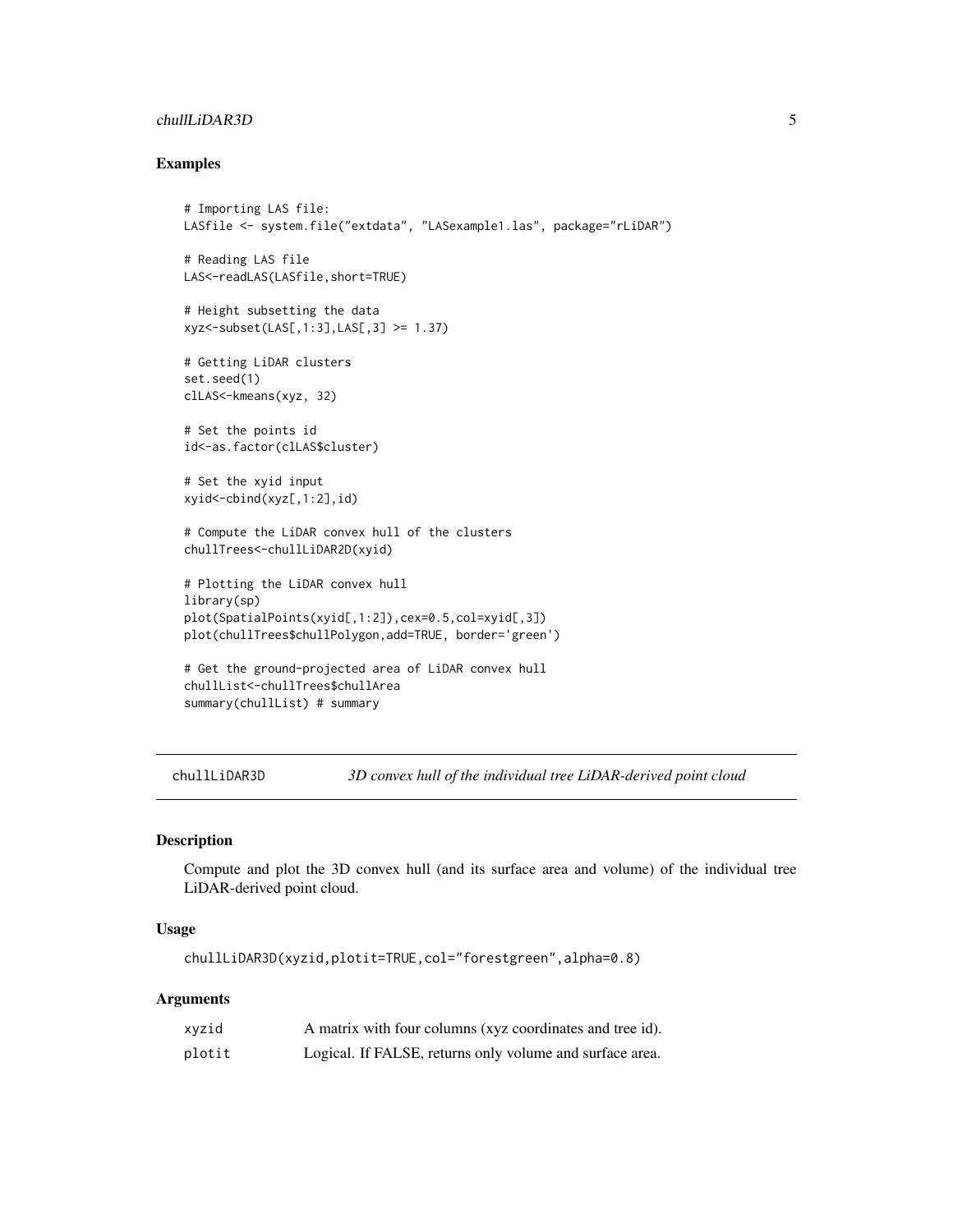#### <span id="page-4-0"></span>chullLiDAR3D 5

#### Examples

```
# Importing LAS file:
LASfile <- system.file("extdata", "LASexample1.las", package="rLiDAR")
# Reading LAS file
LAS<-readLAS(LASfile,short=TRUE)
# Height subsetting the data
xyz<-subset(LAS[,1:3],LAS[,3] >= 1.37)
# Getting LiDAR clusters
set.seed(1)
clLAS<-kmeans(xyz, 32)
# Set the points id
id<-as.factor(clLAS$cluster)
# Set the xyid input
xyid<-cbind(xyz[,1:2],id)
# Compute the LiDAR convex hull of the clusters
chullTrees<-chullLiDAR2D(xyid)
# Plotting the LiDAR convex hull
library(sp)
plot(SpatialPoints(xyid[,1:2]),cex=0.5,col=xyid[,3])
plot(chullTrees$chullPolygon,add=TRUE, border='green')
# Get the ground-projected area of LiDAR convex hull
chullList<-chullTrees$chullArea
summary(chullList) # summary
```
chullLiDAR3D *3D convex hull of the individual tree LiDAR-derived point cloud*

#### Description

Compute and plot the 3D convex hull (and its surface area and volume) of the individual tree LiDAR-derived point cloud.

#### Usage

chullLiDAR3D(xyzid,plotit=TRUE,col="forestgreen",alpha=0.8)

#### Arguments

| xyzid  | A matrix with four columns (xyz coordinates and tree id). |
|--------|-----------------------------------------------------------|
| plotit | Logical. If FALSE, returns only volume and surface area.  |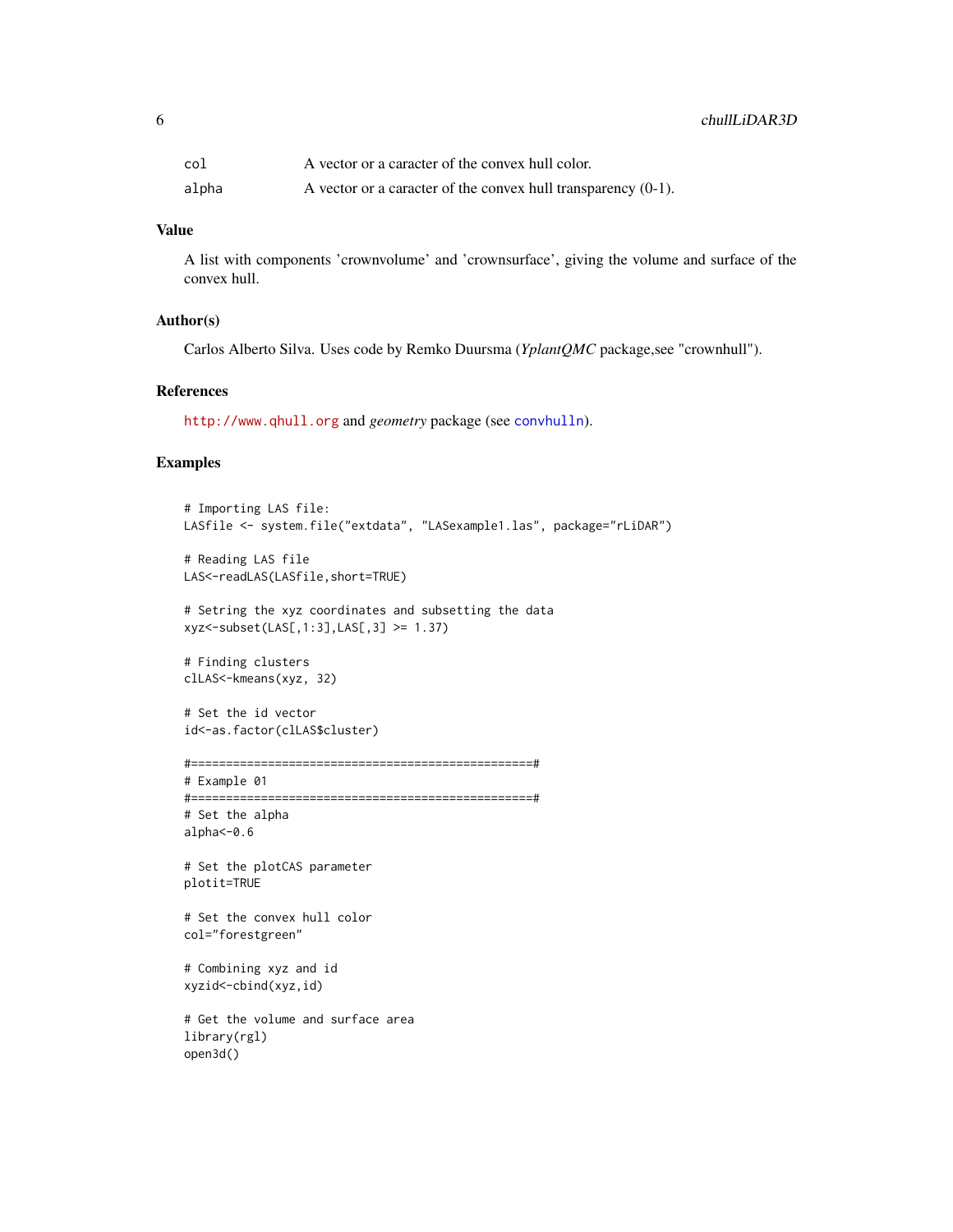<span id="page-5-0"></span>

| col   | A vector or a caracter of the convex hull color.                 |
|-------|------------------------------------------------------------------|
| alpha | A vector or a caracter of the convex hull transparency $(0-1)$ . |

#### Value

A list with components 'crownvolume' and 'crownsurface', giving the volume and surface of the convex hull.

#### Author(s)

Carlos Alberto Silva. Uses code by Remko Duursma (*YplantQMC* package,see "crownhull").

#### References

<http://www.qhull.org> and *geometry* package (see [convhulln](#page-0-0)).

#### Examples

```
# Importing LAS file:
LASfile <- system.file("extdata", "LASexample1.las", package="rLiDAR")
# Reading LAS file
```

```
LAS<-readLAS(LASfile,short=TRUE)
```

```
# Setring the xyz coordinates and subsetting the data
xyz<-subset(LAS[,1:3],LAS[,3] >= 1.37)
```

```
# Finding clusters
clLAS<-kmeans(xyz, 32)
```

```
# Set the id vector
id<-as.factor(clLAS$cluster)
```

```
#=================================================#
```

```
# Example 01
```

```
#=================================================#
# Set the alpha
alpha<-0.6
```
# Set the plotCAS parameter plotit=TRUE

# Set the convex hull color col="forestgreen"

```
# Combining xyz and id
xyzid<-cbind(xyz,id)
```
# Get the volume and surface area library(rgl) open3d()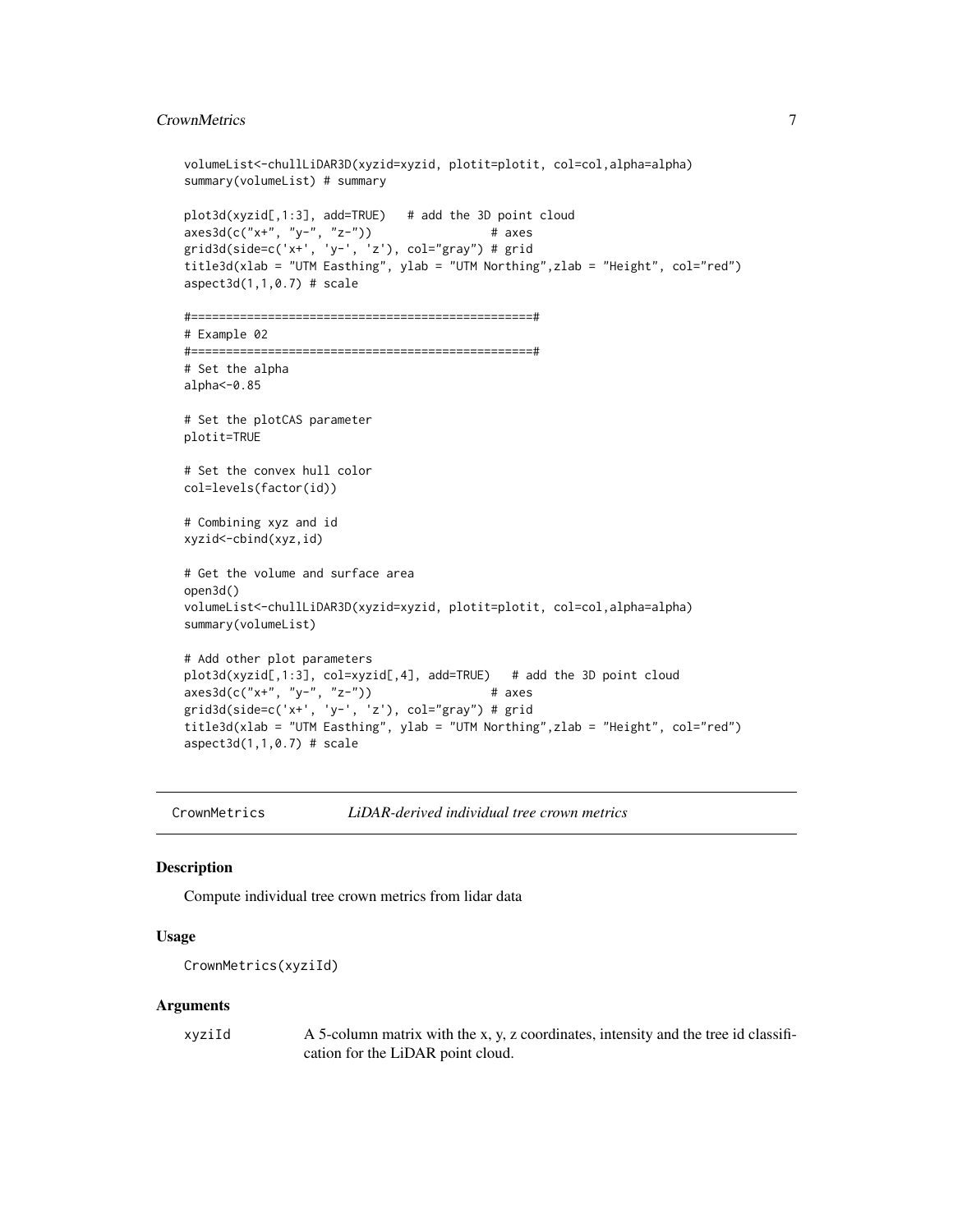#### <span id="page-6-0"></span>CrownMetrics 7

```
volumeList<-chullLiDAR3D(xyzid=xyzid, plotit=plotit, col=col,alpha=alpha)
summary(volumeList) # summary
plot3d(xyzid[,1:3], add=TRUE) # add the 3D point cloud
axes3d(c("x+", "y-", "z-")) # axes
grid3d(side=c('x+', 'y-', 'z'), col="gray") # grid
title3d(xlab = "UTM Easthing", ylab = "UTM Northing",zlab = "Height", col="red")
aspect3d(1,1,0.7) # scale
#=================================================#
# Example 02
#=================================================#
# Set the alpha
alpha<-0.85
# Set the plotCAS parameter
plotit=TRUE
# Set the convex hull color
col=levels(factor(id))
# Combining xyz and id
xyzid<-cbind(xyz,id)
# Get the volume and surface area
open3d()
volumeList<-chullLiDAR3D(xyzid=xyzid, plotit=plotit, col=col,alpha=alpha)
summary(volumeList)
# Add other plot parameters
plot3d(xyzid[,1:3], col=xyzid[,4], add=TRUE) # add the 3D point cloud
axes3d(c("x+", "y-", "z-")) # axes
grid3d(side=c('x+'', 'y-'', 'z'), col="gray")# grid
title3d(xlab = "UTM Easthing", ylab = "UTM Northing",zlab = "Height", col="red")
aspect3d(1,1,0.7) # scale
```
CrownMetrics *LiDAR-derived individual tree crown metrics*

#### Description

Compute individual tree crown metrics from lidar data

#### Usage

```
CrownMetrics(xyziId)
```
#### Arguments

xyziId A 5-column matrix with the x, y, z coordinates, intensity and the tree id classification for the LiDAR point cloud.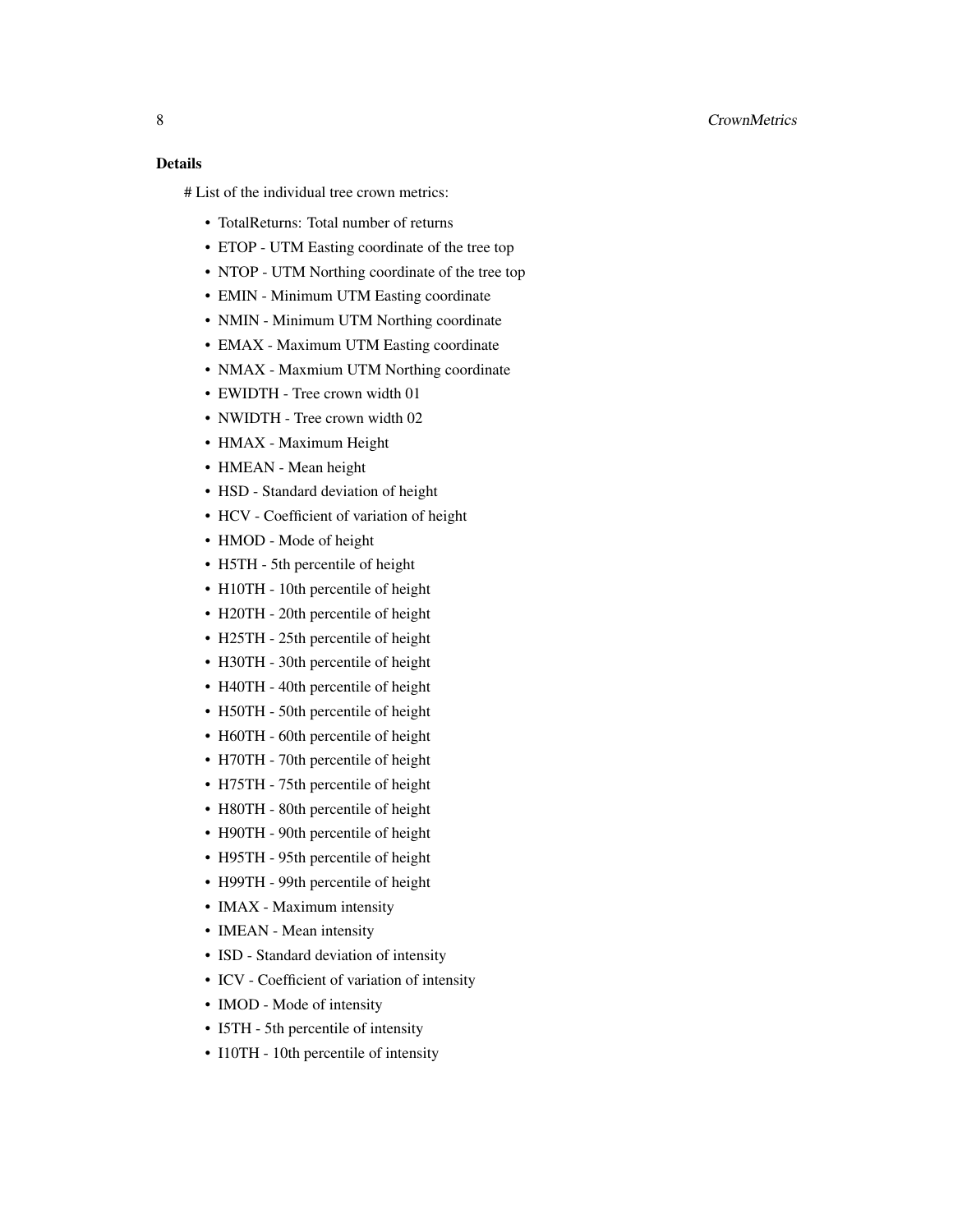#### 8 CrownMetrics

#### Details

# List of the individual tree crown metrics:

- TotalReturns: Total number of returns
- ETOP UTM Easting coordinate of the tree top
- NTOP UTM Northing coordinate of the tree top
- EMIN Minimum UTM Easting coordinate
- NMIN Minimum UTM Northing coordinate
- EMAX Maximum UTM Easting coordinate
- NMAX Maxmium UTM Northing coordinate
- EWIDTH Tree crown width 01
- NWIDTH Tree crown width 02
- HMAX Maximum Height
- HMEAN Mean height
- HSD Standard deviation of height
- HCV Coefficient of variation of height
- HMOD Mode of height
- H5TH 5th percentile of height
- H10TH 10th percentile of height
- H20TH 20th percentile of height
- H25TH 25th percentile of height
- H30TH 30th percentile of height
- H40TH 40th percentile of height
- H50TH 50th percentile of height
- H60TH 60th percentile of height
- H70TH 70th percentile of height
- H75TH 75th percentile of height
- H80TH 80th percentile of height
- H90TH 90th percentile of height
- H95TH 95th percentile of height
- H99TH 99th percentile of height
- IMAX Maximum intensity
- IMEAN Mean intensity
- ISD Standard deviation of intensity
- ICV Coefficient of variation of intensity
- IMOD Mode of intensity
- I5TH 5th percentile of intensity
- I10TH 10th percentile of intensity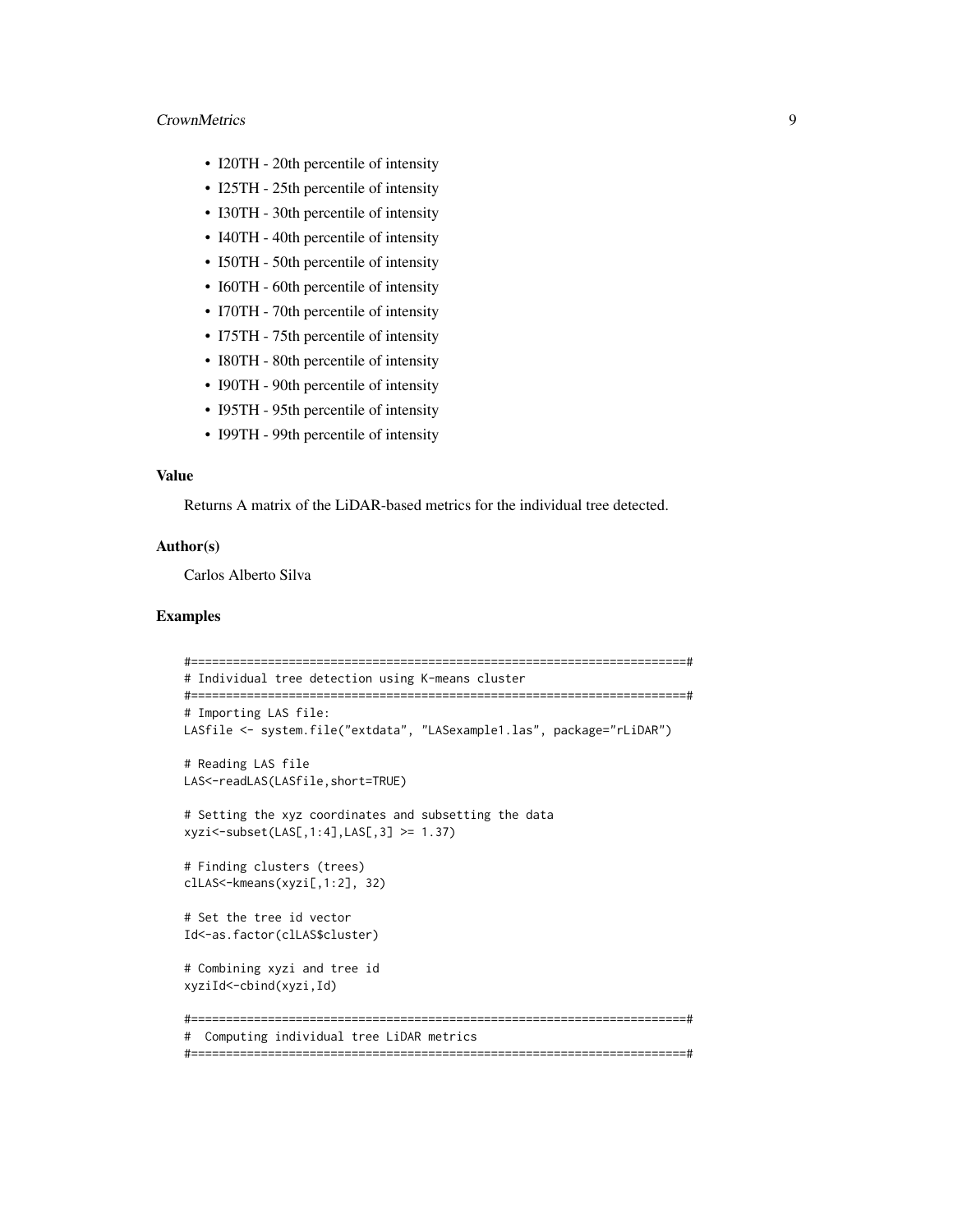#### CrownMetrics 9

- I20TH 20th percentile of intensity
- I25TH 25th percentile of intensity
- I30TH 30th percentile of intensity
- I40TH 40th percentile of intensity
- I50TH 50th percentile of intensity
- I60TH 60th percentile of intensity
- I70TH 70th percentile of intensity
- I75TH 75th percentile of intensity
- I80TH 80th percentile of intensity
- I90TH 90th percentile of intensity
- I95TH 95th percentile of intensity
- I99TH 99th percentile of intensity

#### Value

Returns A matrix of the LiDAR-based metrics for the individual tree detected.

#### Author(s)

Carlos Alberto Silva

#### Examples

```
#=======================================================================#
# Individual tree detection using K-means cluster
#=======================================================================#
# Importing LAS file:
LASfile <- system.file("extdata", "LASexample1.las", package="rLiDAR")
# Reading LAS file
LAS<-readLAS(LASfile,short=TRUE)
# Setting the xyz coordinates and subsetting the data
xyzi<-subset(LAS[,1:4],LAS[,3] >= 1.37)
# Finding clusters (trees)
clLAS<-kmeans(xyzi[,1:2], 32)
# Set the tree id vector
Id<-as.factor(clLAS$cluster)
# Combining xyzi and tree id
xyziId<-cbind(xyzi,Id)
#=======================================================================#
# Computing individual tree LiDAR metrics
#=======================================================================#
```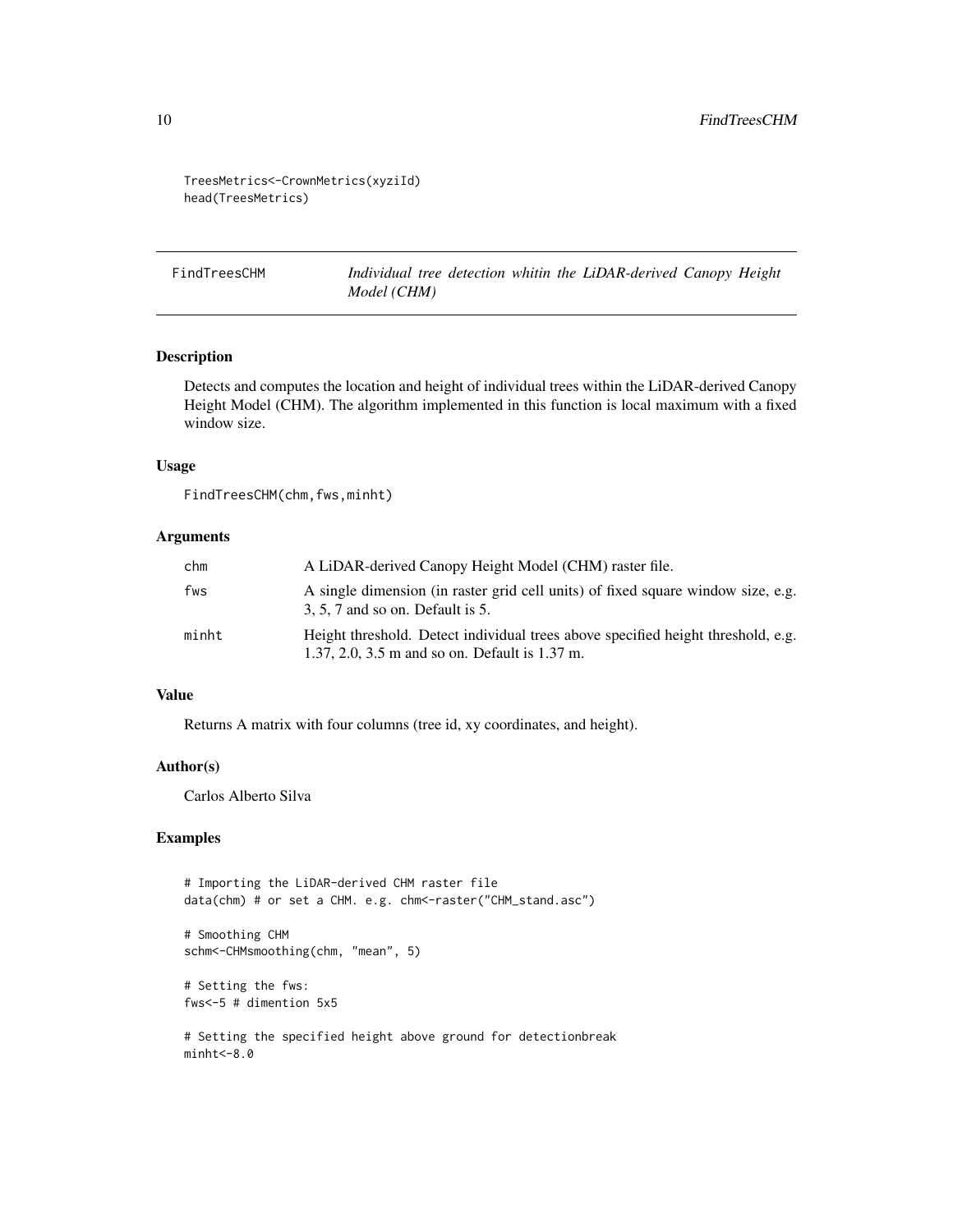<span id="page-9-0"></span>TreesMetrics<-CrownMetrics(xyziId) head(TreesMetrics)

FindTreesCHM *Individual tree detection whitin the LiDAR-derived Canopy Height Model (CHM)*

#### Description

Detects and computes the location and height of individual trees within the LiDAR-derived Canopy Height Model (CHM). The algorithm implemented in this function is local maximum with a fixed window size.

#### Usage

FindTreesCHM(chm,fws,minht)

#### Arguments

| chm   | A LiDAR-derived Canopy Height Model (CHM) raster file.                                                                             |
|-------|------------------------------------------------------------------------------------------------------------------------------------|
| fws   | A single dimension (in raster grid cell units) of fixed square window size, e.g.<br>$3, 5, 7$ and so on. Default is 5.             |
| minht | Height threshold. Detect individual trees above specified height threshold, e.g.<br>1.37, 2.0, 3.5 m and so on. Default is 1.37 m. |

#### Value

Returns A matrix with four columns (tree id, xy coordinates, and height).

#### Author(s)

Carlos Alberto Silva

#### Examples

```
# Importing the LiDAR-derived CHM raster file
data(chm) # or set a CHM. e.g. chm<-raster("CHM_stand.asc")
# Smoothing CHM
schm<-CHMsmoothing(chm, "mean", 5)
```
# Setting the fws: fws<-5 # dimention 5x5

# Setting the specified height above ground for detectionbreak  $minht < -8.0$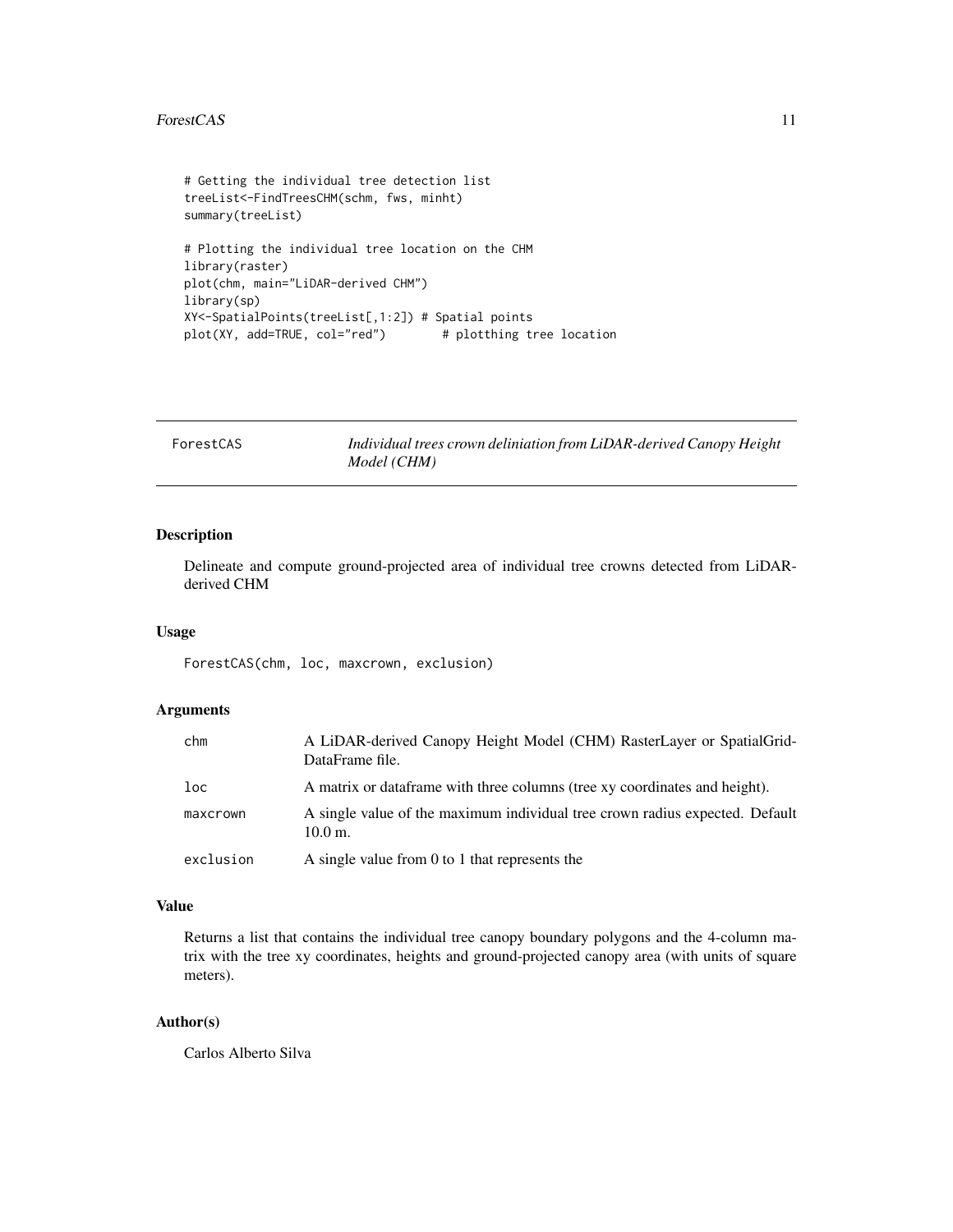#### <span id="page-10-0"></span>ForestCAS 11

```
# Getting the individual tree detection list
treeList<-FindTreesCHM(schm, fws, minht)
summary(treeList)
# Plotting the individual tree location on the CHM
library(raster)
plot(chm, main="LiDAR-derived CHM")
library(sp)
XY<-SpatialPoints(treeList[,1:2]) # Spatial points
plot(XY, add=TRUE, col="red") # plotthing tree location
```

| ForestCAS | Individual trees crown deliniation from LiDAR-derived Canopy Height |
|-----------|---------------------------------------------------------------------|
|           | Model (CHM)                                                         |

#### Description

Delineate and compute ground-projected area of individual tree crowns detected from LiDARderived CHM

#### Usage

ForestCAS(chm, loc, maxcrown, exclusion)

#### Arguments

| chm             | A LiDAR-derived Canopy Height Model (CHM) RasterLayer or SpatialGrid-<br>DataFrame file.           |
|-----------------|----------------------------------------------------------------------------------------------------|
| 1 <sub>oc</sub> | A matrix or data frame with three columns (tree xy coordinates and height).                        |
| maxcrown        | A single value of the maximum individual tree crown radius expected. Default<br>$10.0 \text{ m}$ . |
| exclusion       | A single value from 0 to 1 that represents the                                                     |

#### Value

Returns a list that contains the individual tree canopy boundary polygons and the 4-column matrix with the tree xy coordinates, heights and ground-projected canopy area (with units of square meters).

#### Author(s)

Carlos Alberto Silva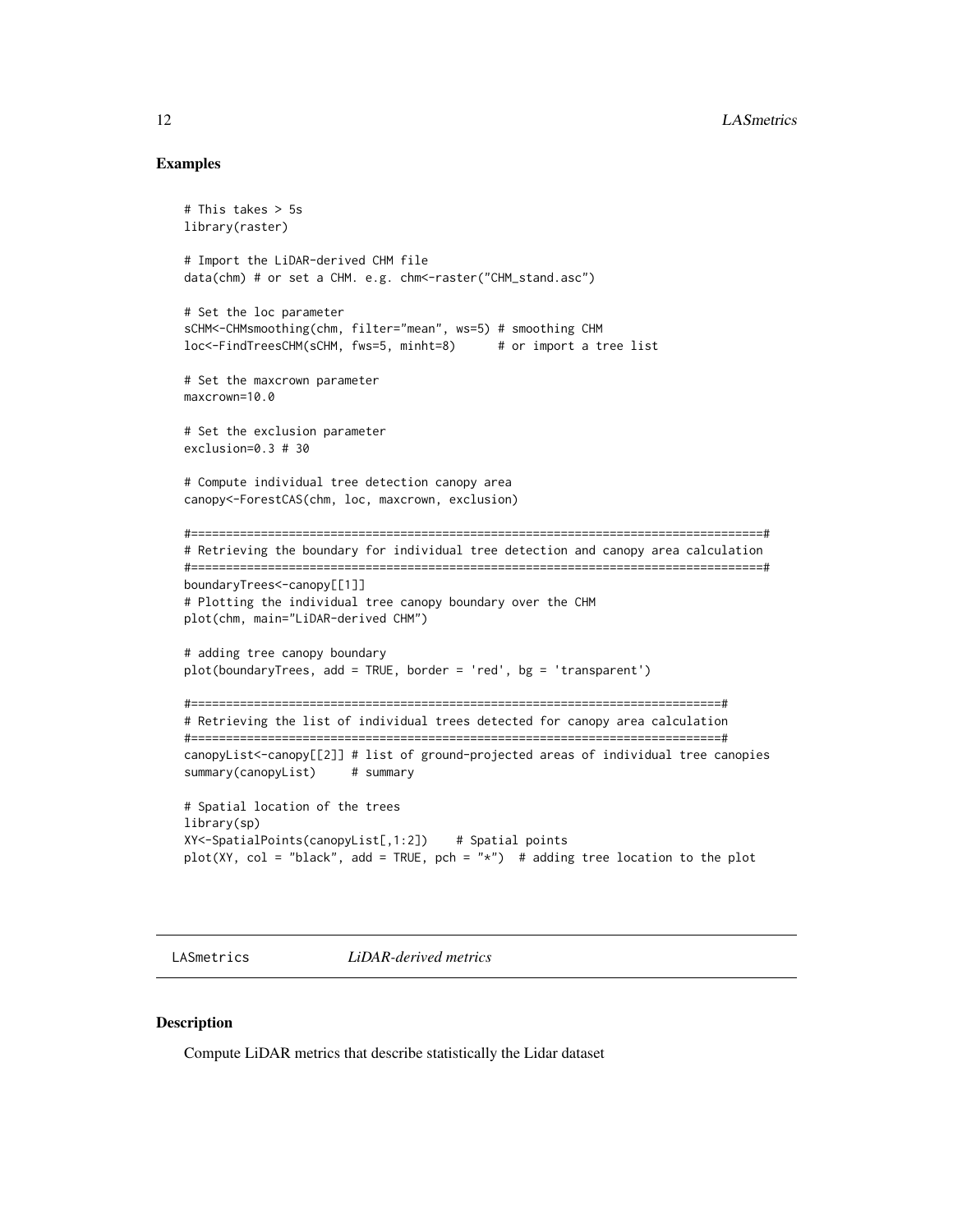#### Examples

```
# This takes > 5s
library(raster)
# Import the LiDAR-derived CHM file
data(chm) # or set a CHM. e.g. chm<-raster("CHM_stand.asc")
# Set the loc parameter
sCHM<-CHMsmoothing(chm, filter="mean", ws=5) # smoothing CHM
loc<-FindTreesCHM(sCHM, fws=5, minht=8) # or import a tree list
# Set the maxcrown parameter
maxcrown=10.0
# Set the exclusion parameter
exclusion=0.3 # 30
# Compute individual tree detection canopy area
canopy<-ForestCAS(chm, loc, maxcrown, exclusion)
#==================================================================================#
# Retrieving the boundary for individual tree detection and canopy area calculation
#==================================================================================#
boundaryTrees<-canopy[[1]]
# Plotting the individual tree canopy boundary over the CHM
plot(chm, main="LiDAR-derived CHM")
# adding tree canopy boundary
plot(boundaryTrees, add = TRUE, border = 'red', bg = 'transparent')
#============================================================================#
# Retrieving the list of individual trees detected for canopy area calculation
#============================================================================#
canopyList<-canopy[[2]] # list of ground-projected areas of individual tree canopies
summary(canopyList) # summary
# Spatial location of the trees
library(sp)
XY<-SpatialPoints(canopyList[,1:2]) # Spatial points
plot(XY, col = "black", add = TRUE, pch = "*") # adding tree location to the plot
```
LASmetrics *LiDAR-derived metrics*

#### Description

Compute LiDAR metrics that describe statistically the Lidar dataset

<span id="page-11-0"></span>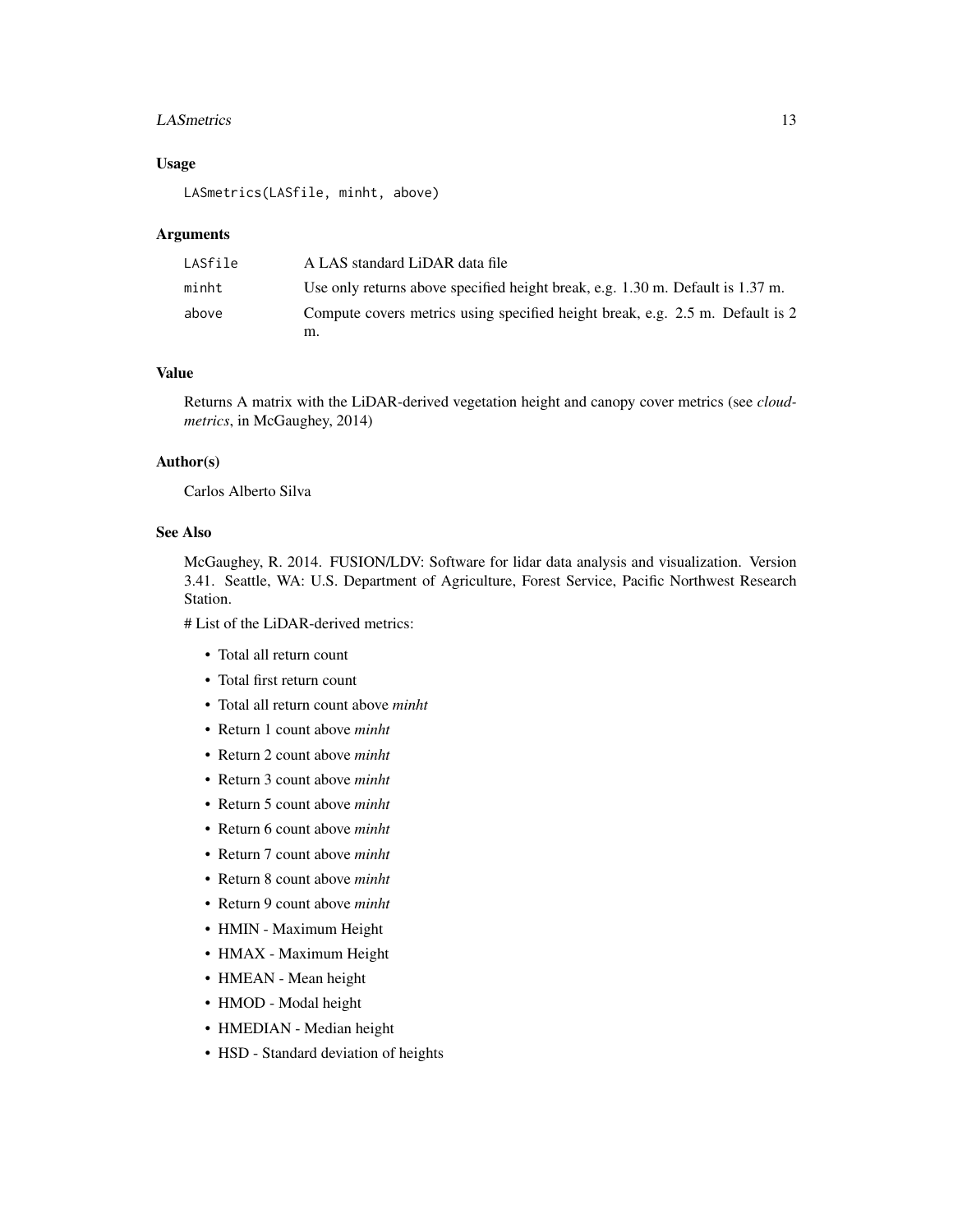#### LASmetrics 13

#### Usage

LASmetrics(LASfile, minht, above)

#### Arguments

| LASfile | A LAS standard LiDAR data file                                                     |
|---------|------------------------------------------------------------------------------------|
| minht   | Use only returns above specified height break, e.g. $1.30$ m. Default is $1.37$ m. |
| above   | Compute covers metrics using specified height break, e.g. 2.5 m. Default is 2      |
|         | m.                                                                                 |

#### Value

Returns A matrix with the LiDAR-derived vegetation height and canopy cover metrics (see *cloudmetrics*, in McGaughey, 2014)

#### Author(s)

Carlos Alberto Silva

#### See Also

McGaughey, R. 2014. FUSION/LDV: Software for lidar data analysis and visualization. Version 3.41. Seattle, WA: U.S. Department of Agriculture, Forest Service, Pacific Northwest Research Station.

# List of the LiDAR-derived metrics:

- Total all return count
- Total first return count
- Total all return count above *minht*
- Return 1 count above *minht*
- Return 2 count above *minht*
- Return 3 count above *minht*
- Return 5 count above *minht*
- Return 6 count above *minht*
- Return 7 count above *minht*
- Return 8 count above *minht*
- Return 9 count above *minht*
- HMIN Maximum Height
- HMAX Maximum Height
- HMEAN Mean height
- HMOD Modal height
- HMEDIAN Median height
- HSD Standard deviation of heights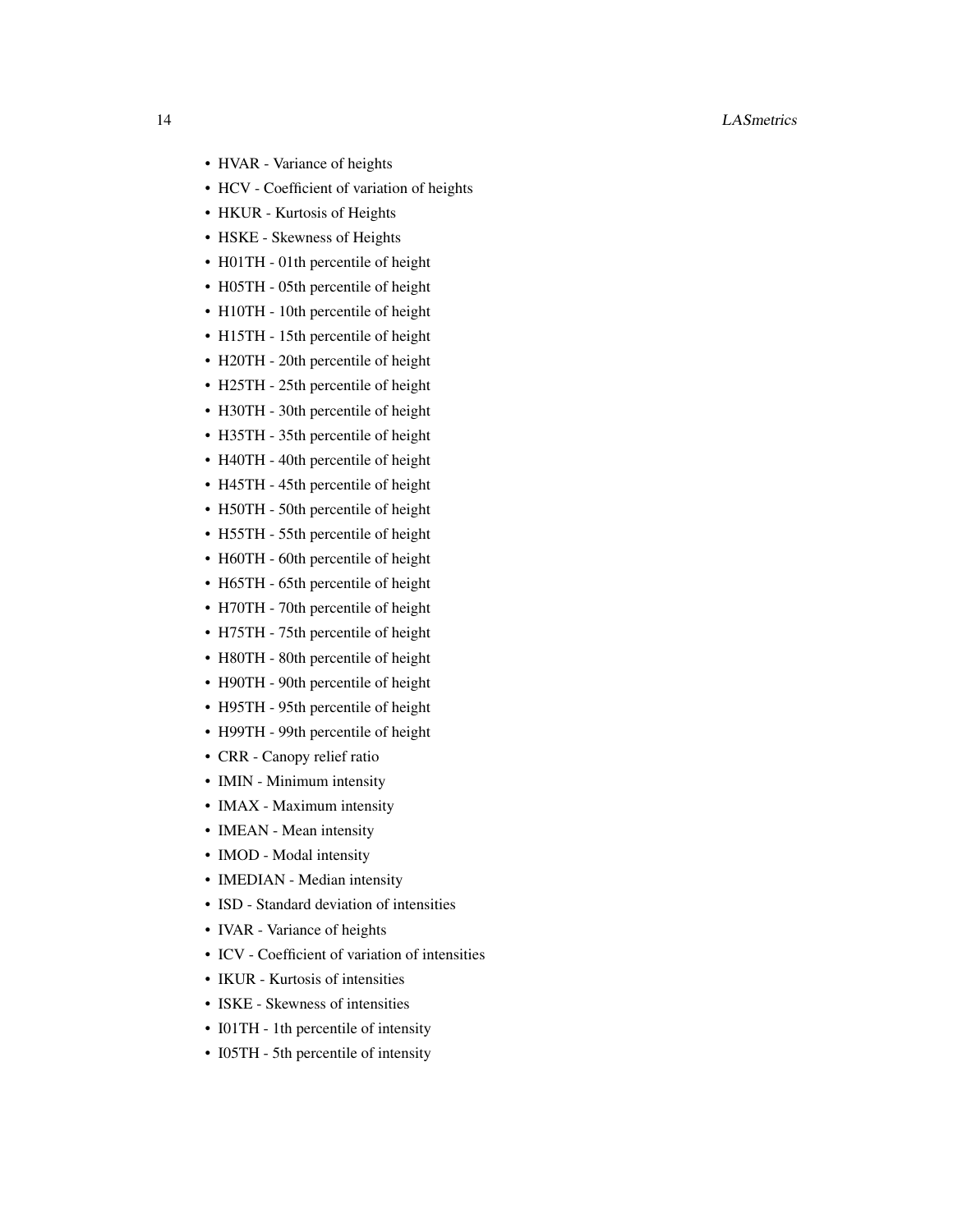#### 14 LASmetrics

- HVAR Variance of heights
- HCV Coefficient of variation of heights
- HKUR Kurtosis of Heights
- HSKE Skewness of Heights
- H01TH 01th percentile of height
- H05TH 05th percentile of height
- H10TH 10th percentile of height
- H15TH 15th percentile of height
- H20TH 20th percentile of height
- H25TH 25th percentile of height
- H30TH 30th percentile of height
- H35TH 35th percentile of height
- H40TH 40th percentile of height
- H45TH 45th percentile of height
- H50TH 50th percentile of height
- H55TH 55th percentile of height
- H60TH 60th percentile of height
- H65TH 65th percentile of height
- H70TH 70th percentile of height
- H75TH 75th percentile of height
- H80TH 80th percentile of height
- H90TH 90th percentile of height
- H95TH 95th percentile of height
- H99TH 99th percentile of height
- CRR Canopy relief ratio
- IMIN Minimum intensity
- IMAX Maximum intensity
- IMEAN Mean intensity
- IMOD Modal intensity
- IMEDIAN Median intensity
- ISD Standard deviation of intensities
- IVAR Variance of heights
- ICV Coefficient of variation of intensities
- IKUR Kurtosis of intensities
- ISKE Skewness of intensities
- I01TH 1th percentile of intensity
- I05TH 5th percentile of intensity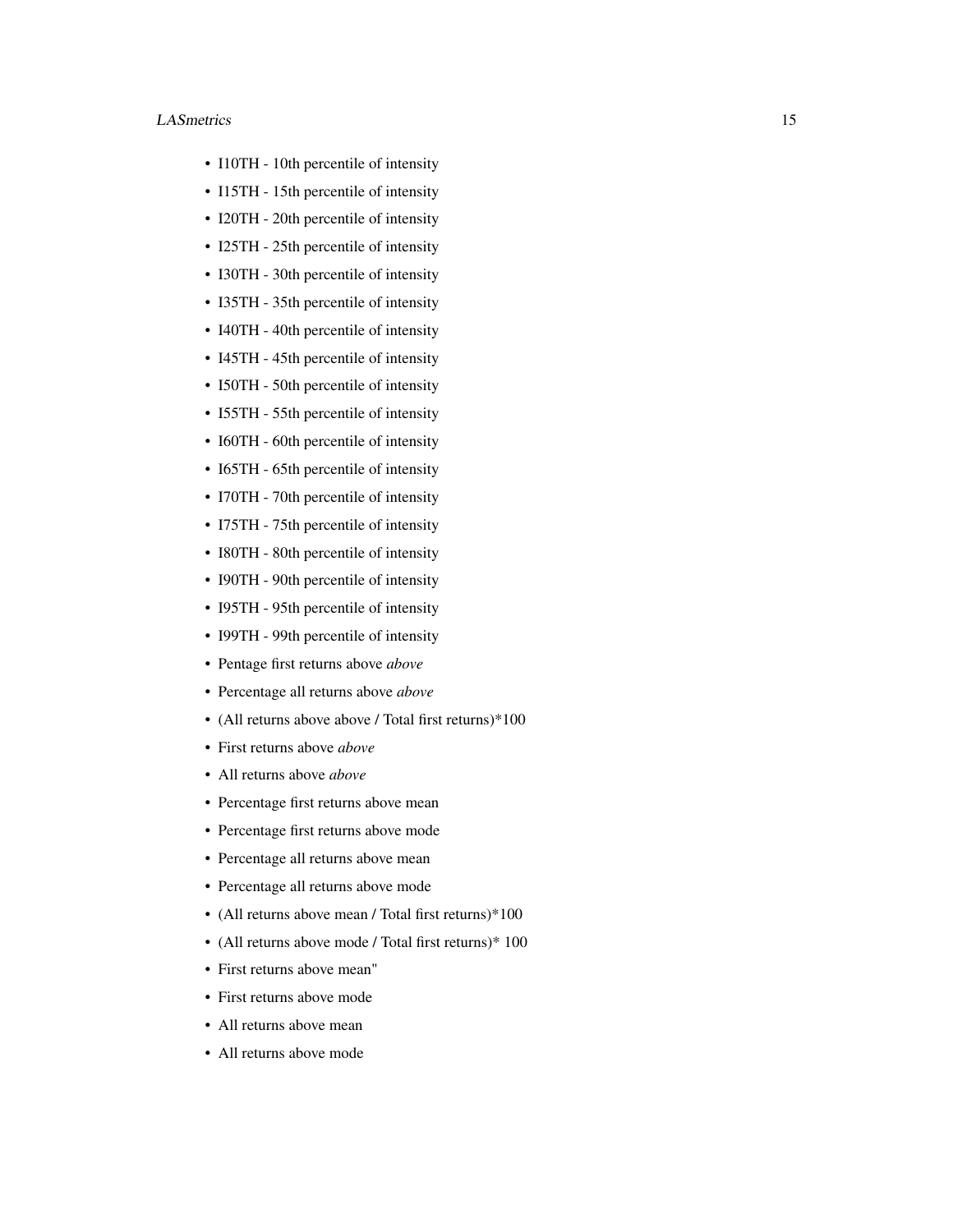#### LASmetrics 15

- I10TH 10th percentile of intensity
- I15TH 15th percentile of intensity
- I20TH 20th percentile of intensity
- I25TH 25th percentile of intensity
- I30TH 30th percentile of intensity
- I35TH 35th percentile of intensity
- I40TH 40th percentile of intensity
- I45TH 45th percentile of intensity
- I50TH 50th percentile of intensity
- I55TH 55th percentile of intensity
- I60TH 60th percentile of intensity
- I65TH 65th percentile of intensity
- I70TH 70th percentile of intensity
- I75TH 75th percentile of intensity
- I80TH 80th percentile of intensity
- I90TH 90th percentile of intensity
- I95TH 95th percentile of intensity
- I99TH 99th percentile of intensity
- Pentage first returns above *above*
- Percentage all returns above *above*
- (All returns above above / Total first returns)\*100
- First returns above *above*
- All returns above *above*
- Percentage first returns above mean
- Percentage first returns above mode
- Percentage all returns above mean
- Percentage all returns above mode
- (All returns above mean / Total first returns)\*100
- (All returns above mode / Total first returns)\* 100
- First returns above mean"
- First returns above mode
- All returns above mean
- All returns above mode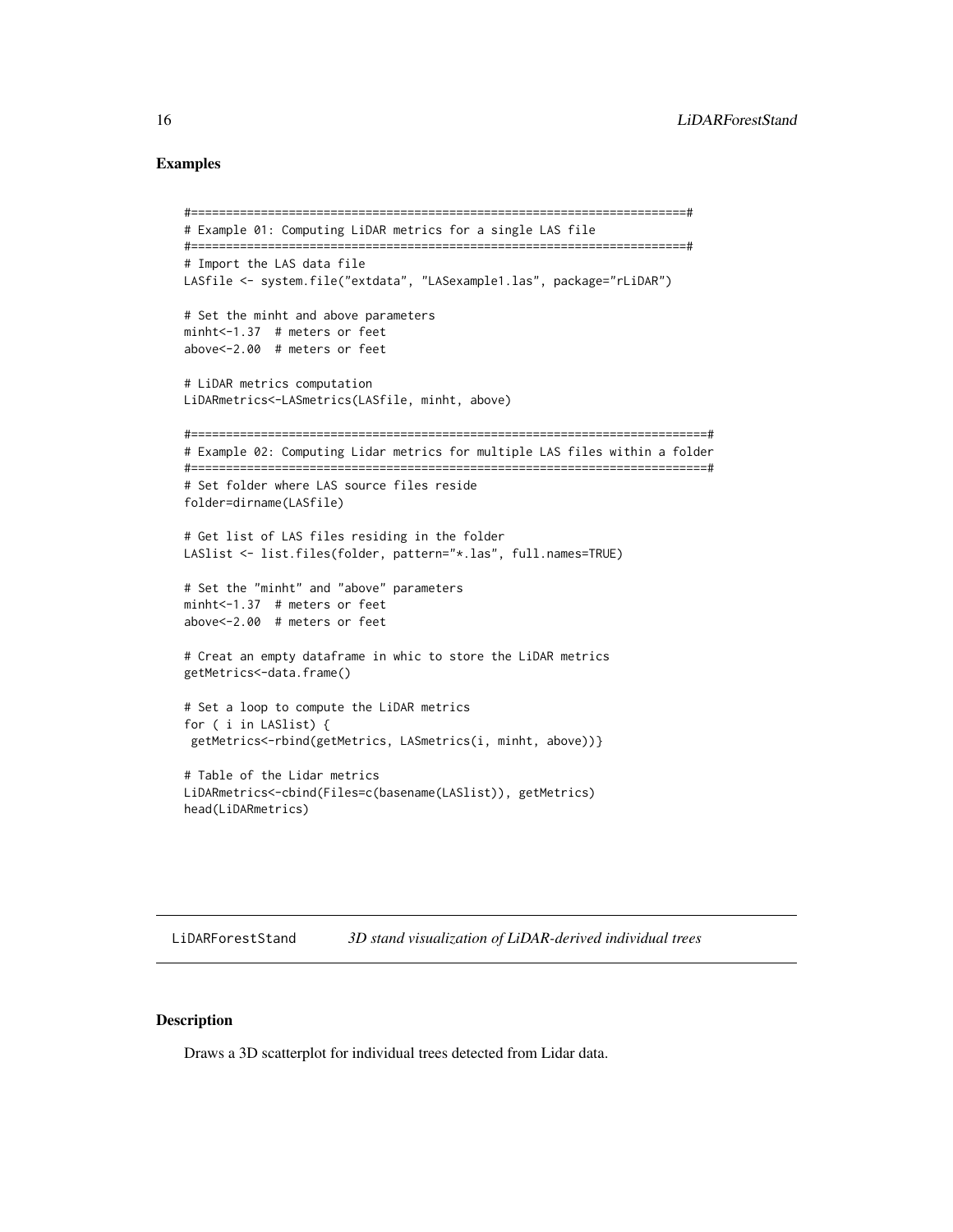#### <span id="page-15-0"></span>Examples

```
#=======================================================================#
# Example 01: Computing LiDAR metrics for a single LAS file
#=======================================================================#
# Import the LAS data file
LASfile <- system.file("extdata", "LASexample1.las", package="rLiDAR")
# Set the minht and above parameters
minht<-1.37 # meters or feet
above<-2.00 # meters or feet
# LiDAR metrics computation
LiDARmetrics<-LASmetrics(LASfile, minht, above)
#==========================================================================#
# Example 02: Computing Lidar metrics for multiple LAS files within a folder
#==========================================================================#
# Set folder where LAS source files reside
folder=dirname(LASfile)
# Get list of LAS files residing in the folder
LASlist <- list.files(folder, pattern="*.las", full.names=TRUE)
# Set the "minht" and "above" parameters
minht<-1.37 # meters or feet
above<-2.00 # meters or feet
# Creat an empty dataframe in whic to store the LiDAR metrics
getMetrics<-data.frame()
# Set a loop to compute the LiDAR metrics
for ( i in LASlist) {
getMetrics<-rbind(getMetrics, LASmetrics(i, minht, above))}
# Table of the Lidar metrics
LiDARmetrics<-cbind(Files=c(basename(LASlist)), getMetrics)
head(LiDARmetrics)
```
LiDARForestStand *3D stand visualization of LiDAR-derived individual trees*

#### Description

Draws a 3D scatterplot for individual trees detected from Lidar data.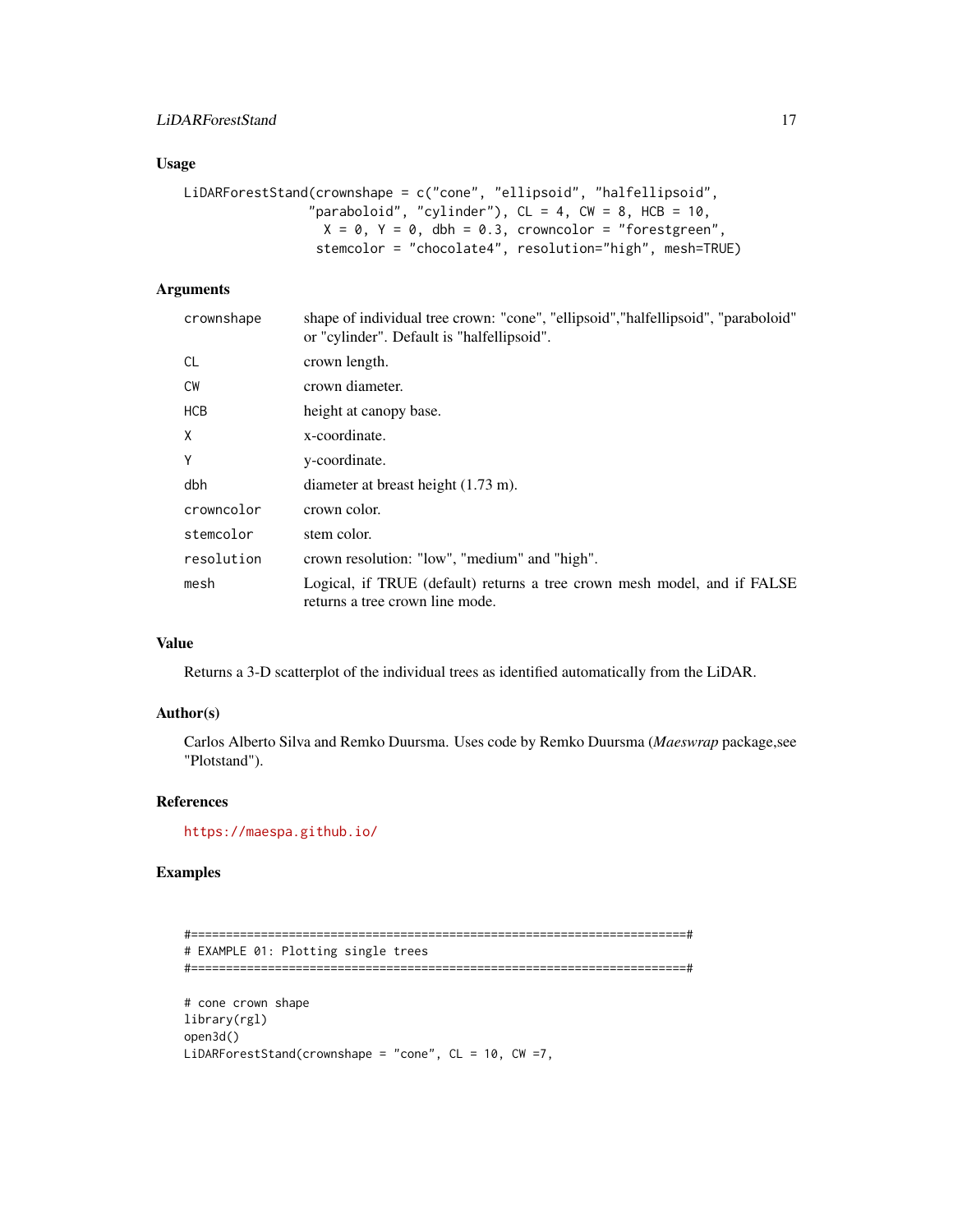#### Usage

```
LiDARForestStand(crownshape = c("cone", "ellipsoid", "halfellipsoid",
                "paraboloid", "cylinder"), CL = 4, CW = 8, HCB = 10,
                  X = 0, Y = 0, dbh = 0.3, crowncolor = "forestgreen",
                 stemcolor = "chocolate4", resolution="high", mesh=TRUE)
```
#### Arguments

| crownshape | shape of individual tree crown: "cone", "ellipsoid", "halfellipsoid", "paraboloid"<br>or "cylinder". Default is "halfellipsoid". |
|------------|----------------------------------------------------------------------------------------------------------------------------------|
| <b>CL</b>  | crown length.                                                                                                                    |
| <b>CW</b>  | crown diameter.                                                                                                                  |
| <b>HCB</b> | height at canopy base.                                                                                                           |
| X          | x-coordinate.                                                                                                                    |
| Y          | y-coordinate.                                                                                                                    |
| dbh        | diameter at breast height $(1.73 \text{ m})$ .                                                                                   |
| crowncolor | crown color.                                                                                                                     |
| stemcolor  | stem color.                                                                                                                      |
| resolution | crown resolution: "low", "medium" and "high".                                                                                    |
| mesh       | Logical, if TRUE (default) returns a tree crown mesh model, and if FALSE<br>returns a tree crown line mode.                      |

#### Value

Returns a 3-D scatterplot of the individual trees as identified automatically from the LiDAR.

#### Author(s)

Carlos Alberto Silva and Remko Duursma. Uses code by Remko Duursma (*Maeswrap* package,see "Plotstand").

#### References

<https://maespa.github.io/>

#### Examples

```
#=======================================================================#
# EXAMPLE 01: Plotting single trees
#=======================================================================#
# cone crown shape
library(rgl)
open3d()
LiDARForestStand(crownshape = "cone", CL = 10, CW = 7,
```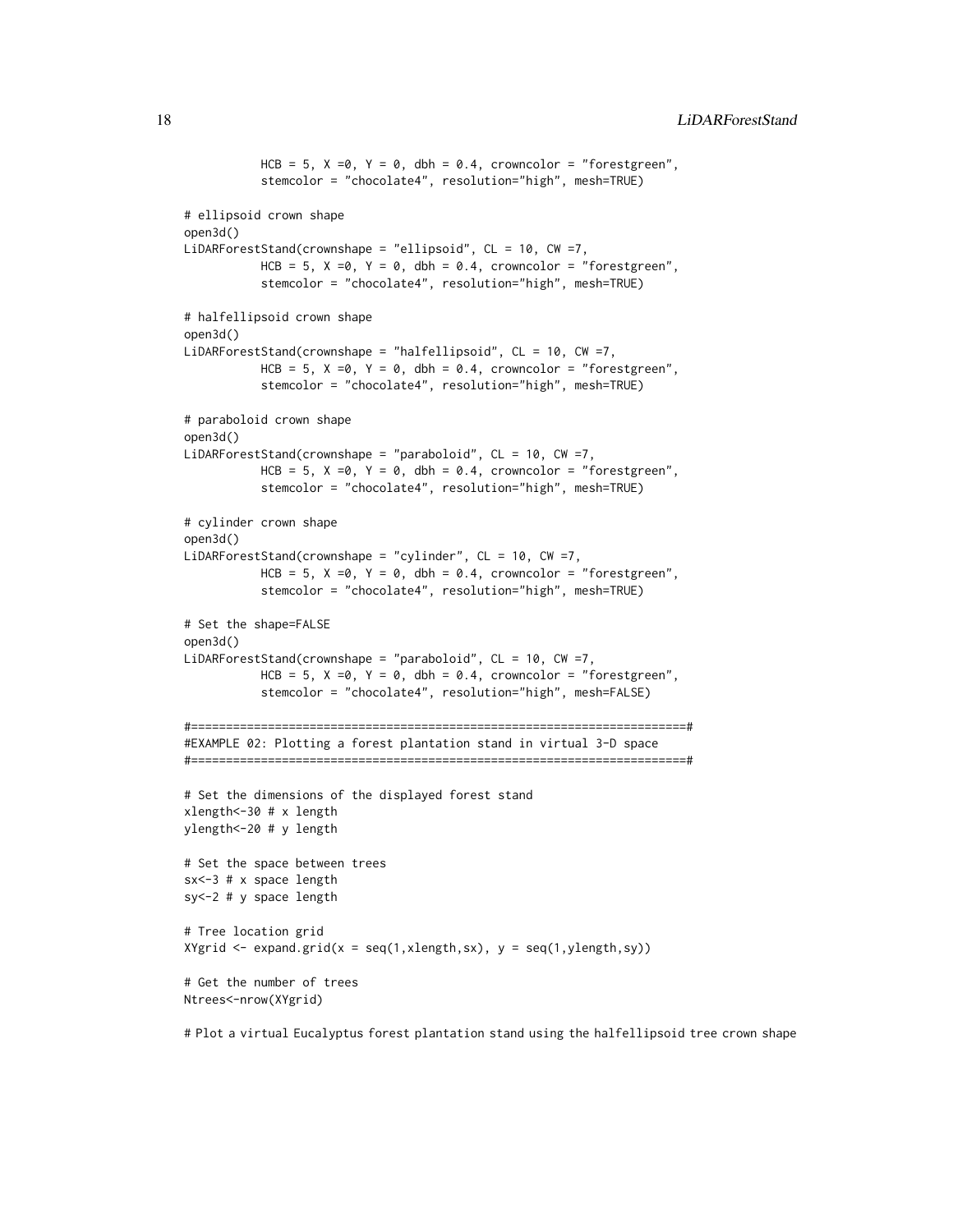```
HCB = 5, X = 0, Y = 0, dbh = 0.4, crowncolor = "forestgreen",
           stemcolor = "chocolate4", resolution="high", mesh=TRUE)
# ellipsoid crown shape
open3d()
LiDARForestStand(crownshape = "ellipsoid", CL = 10, CW =7,
           HCB = 5, X = 0, Y = 0, dbh = 0.4, crowncolor = "forestgreen",
           stemcolor = "chocolate4", resolution="high", mesh=TRUE)
# halfellipsoid crown shape
open3d()
LiDARForestStand(crownshape = "halfellipsoid", CL = 10, CW =7,
           HCB = 5, X = 0, Y = 0, dbh = 0.4, crowncolor = "forestgreen",
           stemcolor = "chocolate4", resolution="high", mesh=TRUE)
# paraboloid crown shape
open3d()
LiDARForestStand(crownshape = "paraboloid", CL = 10, CW =7,
           HCB = 5, X = 0, Y = 0, dbh = 0.4, crowncolor = "forestgreen",
           stemcolor = "chocolate4", resolution="high", mesh=TRUE)
# cylinder crown shape
open3d()
LiDARForestStand(crownshape = "cylinder", CL = 10, CW =7,
           HCB = 5, X = 0, Y = 0, dbh = 0.4, crowncolor = "forestgreen",
           stemcolor = "chocolate4", resolution="high", mesh=TRUE)
# Set the shape=FALSE
open3d()
LiDARForestStand(crownshape = "paraboloid", CL = 10, CW =7,
           HCB = 5, X = 0, Y = 0, dbh = 0.4, crowncolor = "forestgreen",
           stemcolor = "chocolate4", resolution="high", mesh=FALSE)
#=======================================================================#
#EXAMPLE 02: Plotting a forest plantation stand in virtual 3-D space
#=======================================================================#
# Set the dimensions of the displayed forest stand
xlength<-30 # x length
ylength<-20 # y length
# Set the space between trees
sx<-3 # x space length
sy<-2 # y space length
# Tree location grid
X\gammagrid <- expand.grid(x = seq(1,xlength,sx), y = seq(1,ylength,sy))
# Get the number of trees
Ntrees<-nrow(XYgrid)
```
# Plot a virtual Eucalyptus forest plantation stand using the halfellipsoid tree crown shape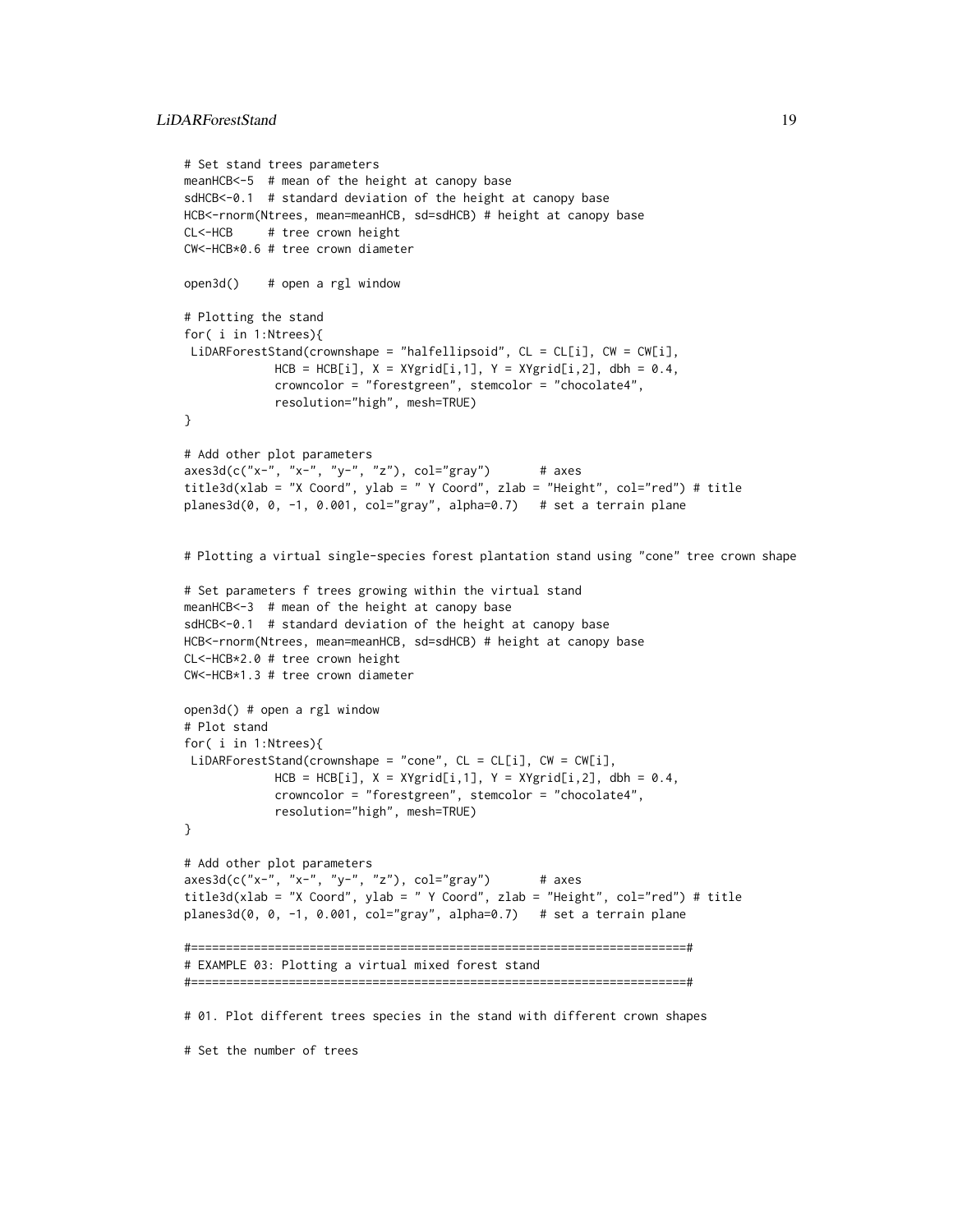```
# Set stand trees parameters
meanHCB<-5 # mean of the height at canopy base
sdHCB<-0.1 # standard deviation of the height at canopy base
HCB<-rnorm(Ntrees, mean=meanHCB, sd=sdHCB) # height at canopy base
CL<-HCB # tree crown height
CW<-HCB*0.6 # tree crown diameter
open3d() # open a rgl window
# Plotting the stand
for( i in 1:Ntrees){
LiDARForestStand(crownshape = "halfellipsoid", CL = CL[i], CW = CW[i],
            HCB = HCB[i], X = XYgrid[i,1], Y = XYgrid[i,2], dbh = 0.4,crowncolor = "forestgreen", stemcolor = "chocolate4",
            resolution="high", mesh=TRUE)
}
# Add other plot parameters
axes3d(c("x-", "x-", "y-", "z"), col="gray") # axes
title3d(xlab = "X Coord", ylab = " Y Coord", zlab = "Height", col="red") # title
planes3d(0, 0, -1, 0.001, col="gray", alpha=0.7) # set a terrain plane
# Plotting a virtual single-species forest plantation stand using "cone" tree crown shape
# Set parameters f trees growing within the virtual stand
meanHCB<-3 # mean of the height at canopy base
sdHCB<-0.1 # standard deviation of the height at canopy base
HCB<-rnorm(Ntrees, mean=meanHCB, sd=sdHCB) # height at canopy base
CL<-HCB*2.0 # tree crown height
CW<-HCB*1.3 # tree crown diameter
open3d() # open a rgl window
# Plot stand
for( i in 1:Ntrees){
LiDARForestStand(crownshape = "cone", CL = CL[i], CW = CW[i],
            HCB = HCB[i], X = XYgrid[i,1], Y = XYgrid[i,2], dbh = 0.4,crowncolor = "forestgreen", stemcolor = "chocolate4",
            resolution="high", mesh=TRUE)
}
# Add other plot parameters
axes3d(c("x-", "x-", "y-", "z"), col="gray") # axes
title3d(xlab = "X Coord", ylab = " Y Coord", zlab = "Height", col="red") # title
planes3d(0, 0, -1, 0.001, col="gray", alpha=0.7) # set a terrain plane
#=======================================================================#
# EXAMPLE 03: Plotting a virtual mixed forest stand
#=======================================================================#
# 01. Plot different trees species in the stand with different crown shapes
# Set the number of trees
```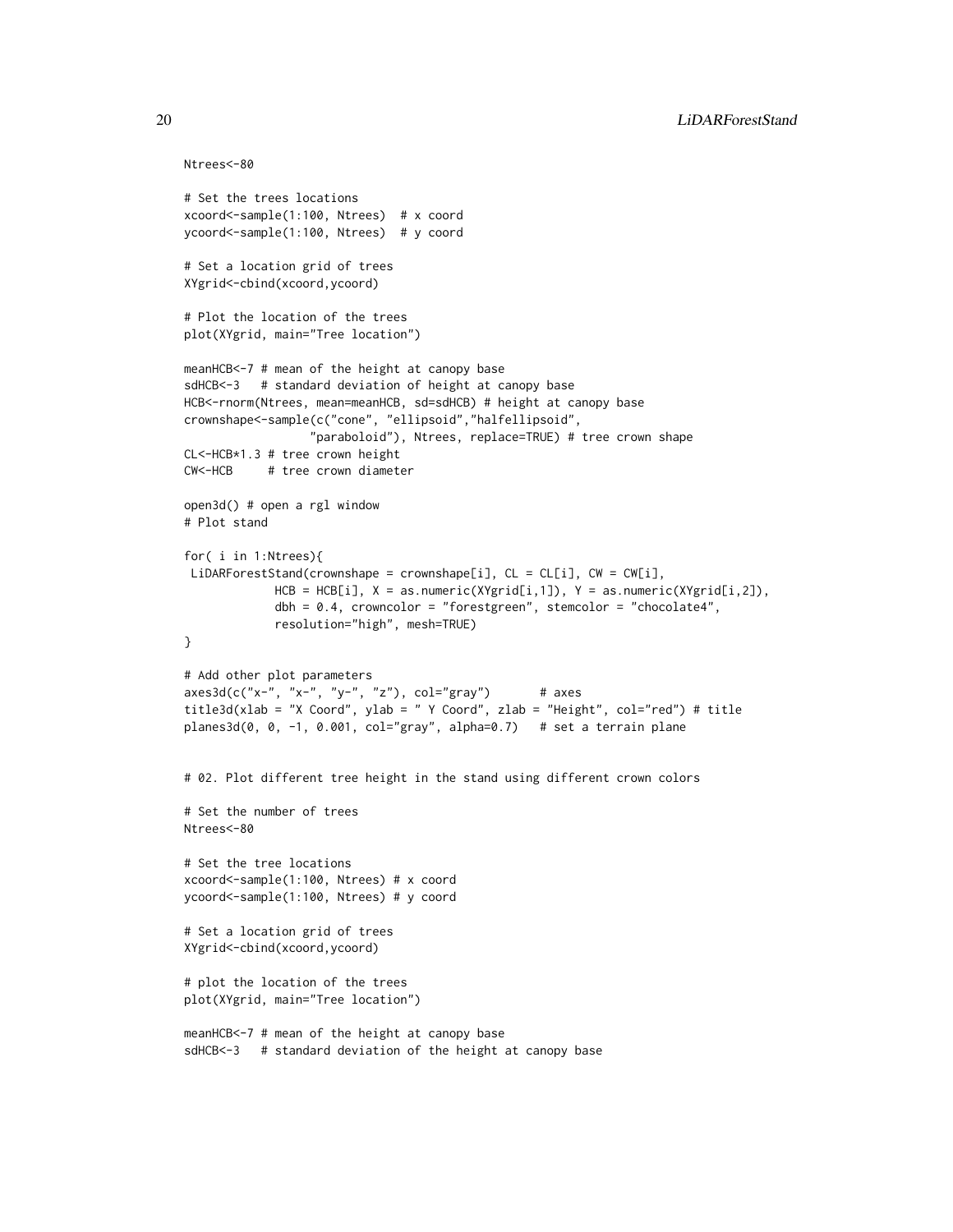```
Ntrees<-80
```

```
# Set the trees locations
xcoord<-sample(1:100, Ntrees) # x coord
ycoord<-sample(1:100, Ntrees) # y coord
# Set a location grid of trees
XYgrid<-cbind(xcoord,ycoord)
# Plot the location of the trees
plot(XYgrid, main="Tree location")
meanHCB<-7 # mean of the height at canopy base
sdHCB<-3 # standard deviation of height at canopy base
HCB<-rnorm(Ntrees, mean=meanHCB, sd=sdHCB) # height at canopy base
crownshape<-sample(c("cone", "ellipsoid","halfellipsoid",
                  "paraboloid"), Ntrees, replace=TRUE) # tree crown shape
CL<-HCB*1.3 # tree crown height
CW<-HCB # tree crown diameter
open3d() # open a rgl window
# Plot stand
for( i in 1:Ntrees){
LiDARForestStand(crownshape = crownshape[i], CL = CL[i], CW = CW[i],
             HCB = HCB[i], X = as.numeric(XYgrid[i,1]), Y = as.numeric(XYgrid[i,2]),dbh = 0.4, crowncolor = "forestgreen", stemcolor = "chocolate4",
             resolution="high", mesh=TRUE)
}
# Add other plot parameters
axes3d(c("x-", "x-", "y-", "z"), col="gray") # axes
title3d(xlab = "X Coord", ylab = " Y Coord", zlab = "Height", col="red") # title
planes3d(0, 0, -1, 0.001, col="gray", alpha=0.7) # set a terrain plane
# 02. Plot different tree height in the stand using different crown colors
# Set the number of trees
Ntrees<-80
# Set the tree locations
xcoord<-sample(1:100, Ntrees) # x coord
ycoord<-sample(1:100, Ntrees) # y coord
# Set a location grid of trees
XYgrid<-cbind(xcoord,ycoord)
# plot the location of the trees
plot(XYgrid, main="Tree location")
meanHCB<-7 # mean of the height at canopy base
sdHCB<-3 # standard deviation of the height at canopy base
```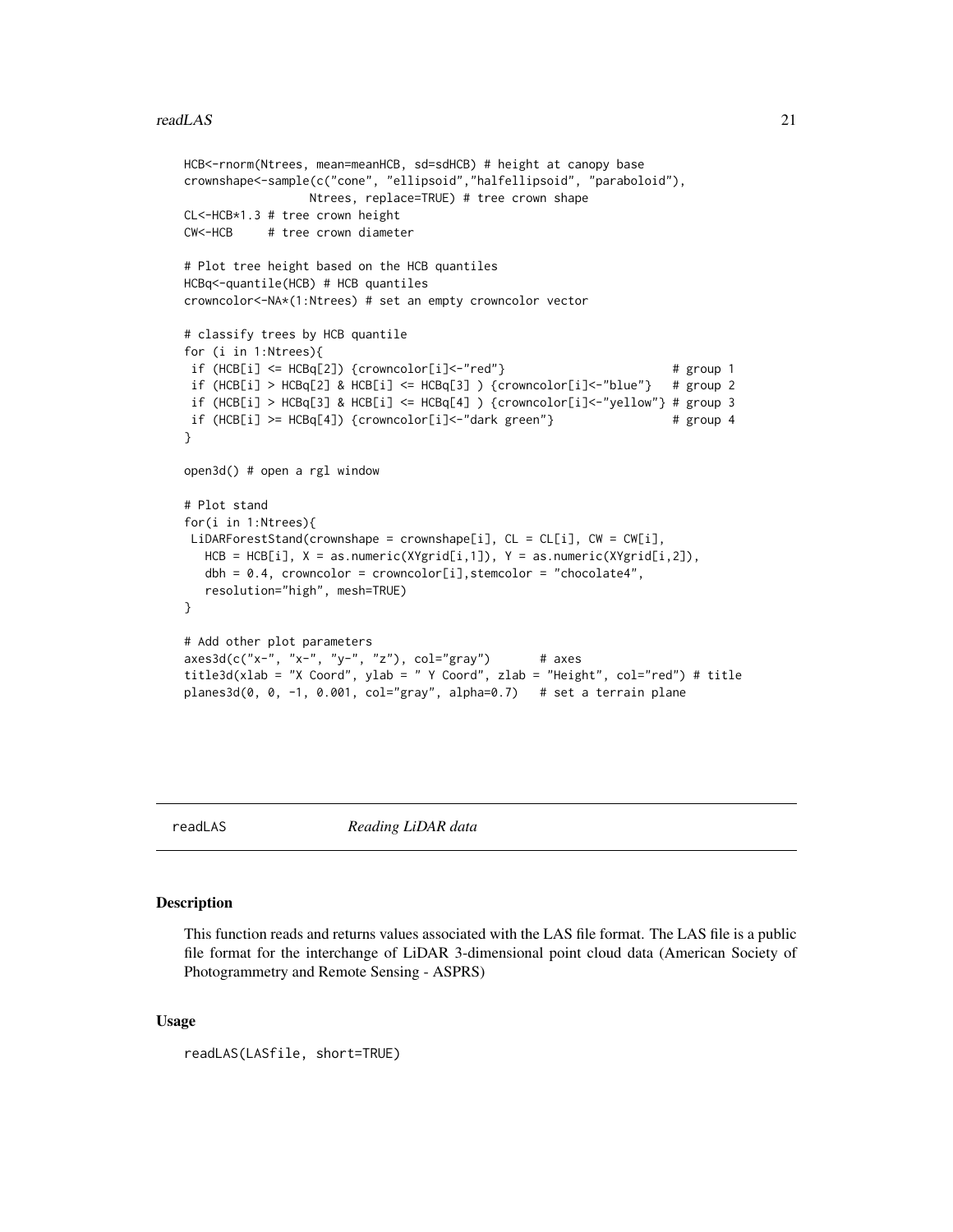#### <span id="page-20-0"></span>readLAS 21

```
HCB<-rnorm(Ntrees, mean=meanHCB, sd=sdHCB) # height at canopy base
crownshape<-sample(c("cone", "ellipsoid","halfellipsoid", "paraboloid"),
                 Ntrees, replace=TRUE) # tree crown shape
CL<-HCB*1.3 # tree crown height
CW<-HCB # tree crown diameter
# Plot tree height based on the HCB quantiles
HCBq<-quantile(HCB) # HCB quantiles
crowncolor<-NA*(1:Ntrees) # set an empty crowncolor vector
# classify trees by HCB quantile
for (i in 1:Ntrees){
if (HCB[i] <= HCBq[2]) {crowncolor[i]<-"red"} # group 1
if (HCB[i] > HCBq[2] & HCB[i] <= HCBq[3] ) {crowncolor[i]<-"blue"} # group 2
if (HCB[i] > HCBq[3] & HCB[i] <= HCBq[4] ) {crowncolor[i]<-"yellow"} # group 3
if (HCB[i] >= HCBq[4]) {crowncolor[i]<-"dark green"} # group 4
}
open3d() # open a rgl window
# Plot stand
for(i in 1:Ntrees){
LiDARForestStand(crownshape = crownshape[i], CL = CL[i], CW = CW[i],
  HCB = HCB[i], X = as.numeric(XYgrid[i,1]), Y = as.numeric(XYgrid[i,2]),dbh = 0.4, crowncolor = crowncolor[i], stemcolor = "chocolate4",
  resolution="high", mesh=TRUE)
}
# Add other plot parameters
axes3d(c("x-", "x-", "y-", "z"), col="gray") # axes
title3d(xlab = "X Coord", ylab = " Y Coord", zlab = "Height", col="red") # title
plane3d(0, 0, -1, 0.001, col="gray", alpha=0.7) # set a terrain plane
```
readLAS *Reading LiDAR data*

#### **Description**

This function reads and returns values associated with the LAS file format. The LAS file is a public file format for the interchange of LiDAR 3-dimensional point cloud data (American Society of Photogrammetry and Remote Sensing - ASPRS)

#### Usage

```
readLAS(LASfile, short=TRUE)
```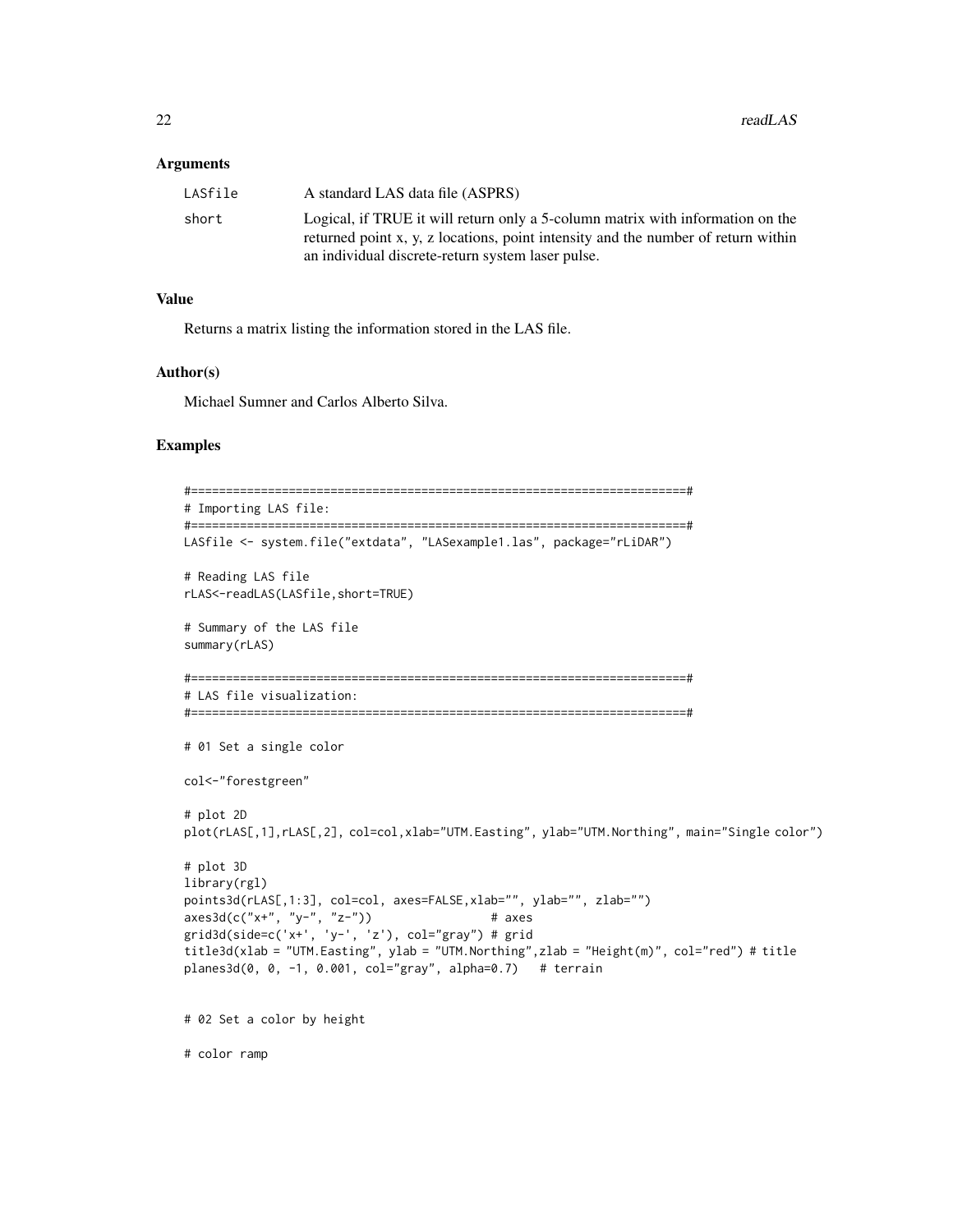#### **Arguments**

| LASfile | A standard LAS data file (ASPRS)                                                  |
|---------|-----------------------------------------------------------------------------------|
| short   | Logical, if TRUE it will return only a 5-column matrix with information on the    |
|         | returned point x, y, z locations, point intensity and the number of return within |
|         | an individual discrete-return system laser pulse.                                 |

#### Value

Returns a matrix listing the information stored in the LAS file.

#### Author(s)

Michael Sumner and Carlos Alberto Silva.

#### Examples

```
#=======================================================================#
# Importing LAS file:
#=======================================================================#
LASfile <- system.file("extdata", "LASexample1.las", package="rLiDAR")
# Reading LAS file
rLAS<-readLAS(LASfile,short=TRUE)
# Summary of the LAS file
summary(rLAS)
#=======================================================================#
# LAS file visualization:
#=======================================================================#
# 01 Set a single color
col<-"forestgreen"
# plot 2D
plot(rLAS[,1],rLAS[,2], col=col,xlab="UTM.Easting", ylab="UTM.Northing", main="Single color")
# plot 3D
library(rgl)
points3d(rLAS[,1:3], col=col, axes=FALSE, xlab="", ylab="", zlab="")
axes3d(c("x+", "y-", "z-")) # axes
grid3d(side=c('x+', 'y-', 'z'), col="gray") # grid
title3d(xlab = "UTM.Easting", ylab = "UTM.Northing",zlab = "Height(m)", col="red") # title
plane3d(0, 0, -1, 0.001, col="gray", alpha=0.7) # terrain
# 02 Set a color by height
```
# color ramp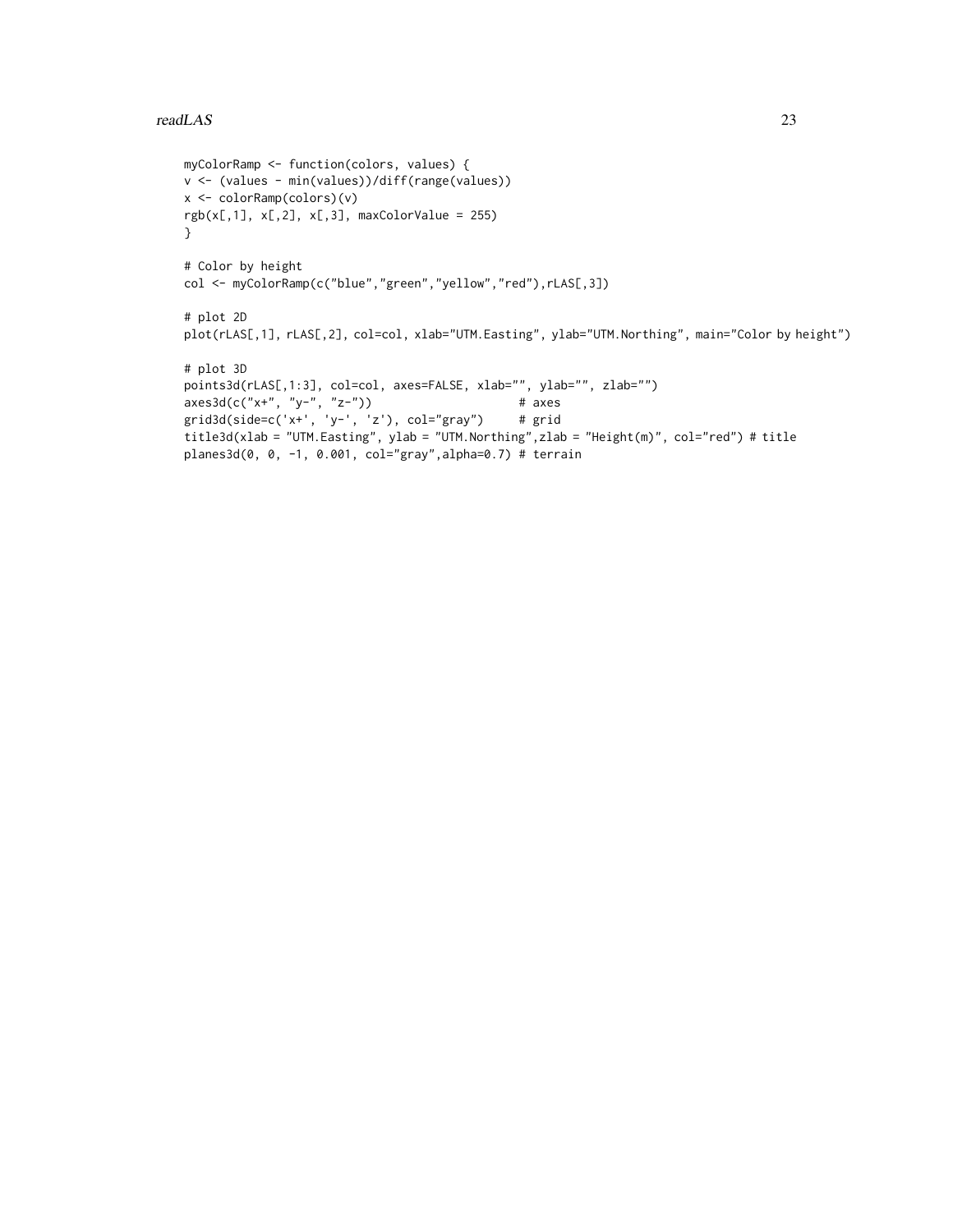#### readLAS 23

```
myColorRamp <- function(colors, values) {
v <- (values - min(values))/diff(range(values))
x <- colorRamp(colors)(v)
rgb(x[,1], x[,2], x[,3], maxColorValue = 255)}
# Color by height
col <- myColorRamp(c("blue","green","yellow","red"),rLAS[,3])
# plot 2D
plot(rLAS[,1], rLAS[,2], col=col, xlab="UTM.Easting", ylab="UTM.Northing", main="Color by height")
# plot 3D
points3d(rLAS[,1:3], col=col, axes=FALSE, xlab="", ylab="", zlab="")
axes3d(c("x+", "y-", "z-")) # axes
grid3d(side=c('x+', 'y-', 'z'), col="gray") # grid
title3d(xlab = "UTM.Easting", ylab = "UTM.Northing",zlab = "Height(m)", col="red") # title
planes3d(0, 0, -1, 0.001, col="gray",alpha=0.7) # terrain
```